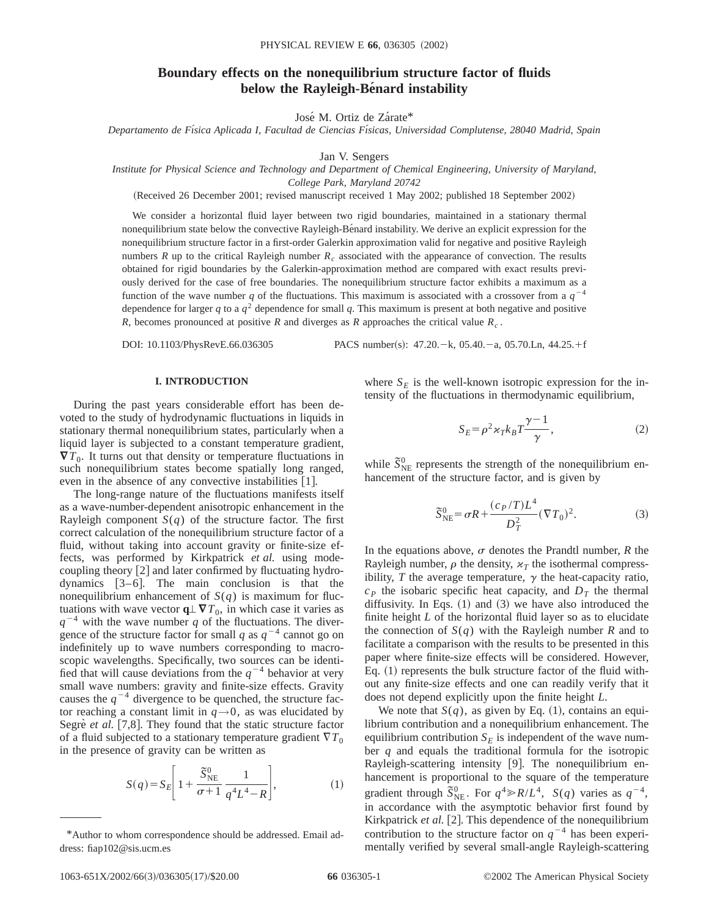# **Boundary effects on the nonequilibrium structure factor of fluids** below the Rayleigh-Bénard instability

José M. Ortiz de Zárate\*

*Departamento de Fı´sica Aplicada I, Facultad de Ciencias Fı´sicas, Universidad Complutense, 28040 Madrid, Spain*

Jan V. Sengers

*Institute for Physical Science and Technology and Department of Chemical Engineering, University of Maryland,*

*College Park, Maryland 20742*

(Received 26 December 2001; revised manuscript received 1 May 2002; published 18 September 2002)

We consider a horizontal fluid layer between two rigid boundaries, maintained in a stationary thermal nonequilibrium state below the convective Rayleigh-Bénard instability. We derive an explicit expression for the nonequilibrium structure factor in a first-order Galerkin approximation valid for negative and positive Rayleigh numbers  $R$  up to the critical Rayleigh number  $R_c$  associated with the appearance of convection. The results obtained for rigid boundaries by the Galerkin-approximation method are compared with exact results previously derived for the case of free boundaries. The nonequilibrium structure factor exhibits a maximum as a function of the wave number *q* of the fluctuations. This maximum is associated with a crossover from a  $q^{-4}$ dependence for larger *q* to a  $q^2$  dependence for small *q*. This maximum is present at both negative and positive *R*, becomes pronounced at positive *R* and diverges as *R* approaches the critical value *Rc* .

DOI: 10.1103/PhysRevE.66.036305 PACS number(s): 47.20. - k, 05.40. - a, 05.70. Ln, 44.25. + f

## **I. INTRODUCTION**

During the past years considerable effort has been devoted to the study of hydrodynamic fluctuations in liquids in stationary thermal nonequilibrium states, particularly when a liquid layer is subjected to a constant temperature gradient,  $\nabla T_0$ . It turns out that density or temperature fluctuations in such nonequilibrium states become spatially long ranged, even in the absence of any convective instabilities  $[1]$ .

The long-range nature of the fluctuations manifests itself as a wave-number-dependent anisotropic enhancement in the Rayleigh component  $S(q)$  of the structure factor. The first correct calculation of the nonequilibrium structure factor of a fluid, without taking into account gravity or finite-size effects, was performed by Kirkpatrick *et al.* using modecoupling theory  $[2]$  and later confirmed by fluctuating hydrodynamics  $[3-6]$ . The main conclusion is that the nonequilibrium enhancement of  $S(q)$  is maximum for fluctuations with wave vector  $q \perp \nabla T_0$ , in which case it varies as  $q^{-4}$  with the wave number *q* of the fluctuations. The divergence of the structure factor for small *q* as  $q^{-4}$  cannot go on indefinitely up to wave numbers corresponding to macroscopic wavelengths. Specifically, two sources can be identified that will cause deviations from the  $q^{-4}$  behavior at very small wave numbers: gravity and finite-size effects. Gravity causes the  $q^{-4}$  divergence to be quenched, the structure factor reaching a constant limit in  $q \rightarrow 0$ , as was elucidated by Segre<sup>e</sup> *et al.* [7,8]. They found that the static structure factor of a fluid subjected to a stationary temperature gradient  $\nabla T_0$ in the presence of gravity can be written as

$$
S(q) = S_E \left[ 1 + \frac{\tilde{S}_{NE}^0}{\sigma + 1} \frac{1}{q^4 L^4 - R} \right],
$$
 (1)

where  $S_E$  is the well-known isotropic expression for the intensity of the fluctuations in thermodynamic equilibrium,

$$
S_E = \rho^2 \varkappa_T k_B T \frac{\gamma - 1}{\gamma},\tag{2}
$$

while  $\tilde{S}_{\text{NE}}^0$  represents the strength of the nonequilibrium enhancement of the structure factor, and is given by

$$
\tilde{S}_{\text{NE}}^{0} = \sigma R + \frac{(c_P / T) L^4}{D_T^2} (\nabla T_0)^2.
$$
 (3)

In the equations above,  $\sigma$  denotes the Prandtl number,  $R$  the Rayleigh number,  $\rho$  the density,  $\varkappa_T$  the isothermal compressibility,  $T$  the average temperature,  $\gamma$  the heat-capacity ratio,  $c<sub>P</sub>$  the isobaric specific heat capacity, and  $D<sub>T</sub>$  the thermal diffusivity. In Eqs.  $(1)$  and  $(3)$  we have also introduced the finite height *L* of the horizontal fluid layer so as to elucidate the connection of  $S(q)$  with the Rayleigh number *R* and to facilitate a comparison with the results to be presented in this paper where finite-size effects will be considered. However, Eq.  $(1)$  represents the bulk structure factor of the fluid without any finite-size effects and one can readily verify that it does not depend explicitly upon the finite height *L*.

We note that  $S(q)$ , as given by Eq. (1), contains an equilibrium contribution and a nonequilibrium enhancement. The equilibrium contribution  $S_E$  is independent of the wave number *q* and equals the traditional formula for the isotropic Rayleigh-scattering intensity [9]. The nonequilibrium enhancement is proportional to the square of the temperature gradient through  $\bar{S}_{NE}^{0}$ . For  $q^4 \gg R/L^4$ ,  $S(q)$  varies as  $q^{-4}$ , in accordance with the asymptotic behavior first found by Kirkpatrick et al. [2]. This dependence of the nonequilibrium contribution to the structure factor on  $q^{-4}$  has been experimentally verified by several small-angle Rayleigh-scattering

<sup>\*</sup>Author to whom correspondence should be addressed. Email address: fiap102@sis.ucm.es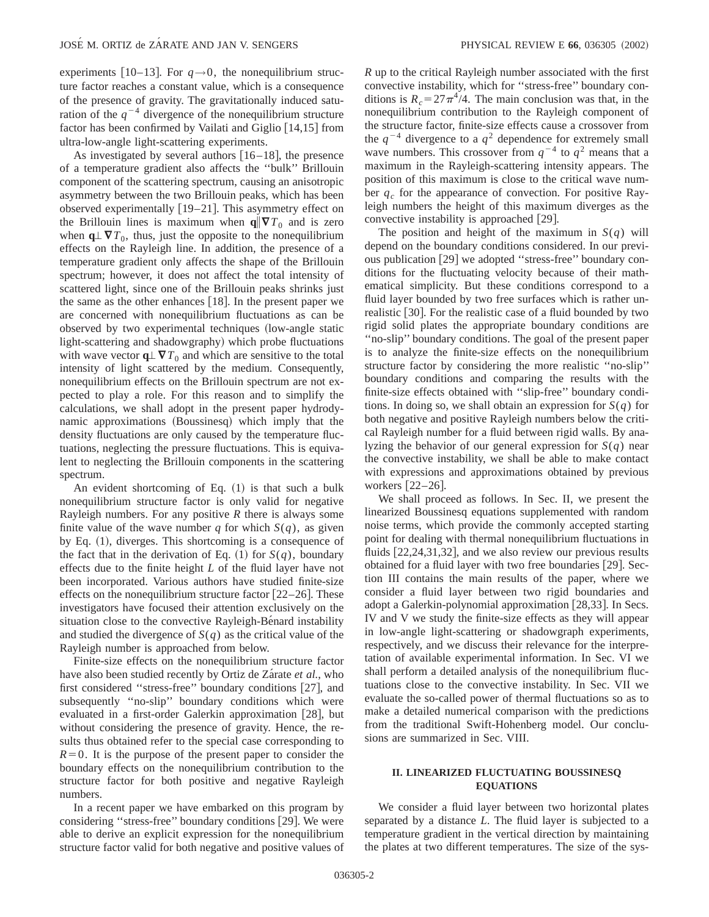experiments [10–13]. For  $q \rightarrow 0$ , the nonequilibrium structure factor reaches a constant value, which is a consequence of the presence of gravity. The gravitationally induced saturation of the  $q^{-4}$  divergence of the nonequilibrium structure factor has been confirmed by Vailati and Giglio  $[14,15]$  from ultra-low-angle light-scattering experiments.

As investigated by several authors  $[16–18]$ , the presence of a temperature gradient also affects the ''bulk'' Brillouin component of the scattering spectrum, causing an anisotropic asymmetry between the two Brillouin peaks, which has been observed experimentally  $[19-21]$ . This asymmetry effect on the Brillouin lines is maximum when  $q \nvert \nabla T_0$  and is zero when  $\mathbf{q} \perp \nabla T_0$ , thus, just the opposite to the nonequilibrium effects on the Rayleigh line. In addition, the presence of a temperature gradient only affects the shape of the Brillouin spectrum; however, it does not affect the total intensity of scattered light, since one of the Brillouin peaks shrinks just the same as the other enhances  $[18]$ . In the present paper we are concerned with nonequilibrium fluctuations as can be observed by two experimental techniques (low-angle static light-scattering and shadowgraphy) which probe fluctuations with wave vector  $\mathbf{q} \perp \nabla T_0$  and which are sensitive to the total intensity of light scattered by the medium. Consequently, nonequilibrium effects on the Brillouin spectrum are not expected to play a role. For this reason and to simplify the calculations, we shall adopt in the present paper hydrodynamic approximations (Boussinesq) which imply that the density fluctuations are only caused by the temperature fluctuations, neglecting the pressure fluctuations. This is equivalent to neglecting the Brillouin components in the scattering spectrum.

An evident shortcoming of Eq.  $(1)$  is that such a bulk nonequilibrium structure factor is only valid for negative Rayleigh numbers. For any positive *R* there is always some finite value of the wave number *q* for which  $S(q)$ , as given by Eq.  $(1)$ , diverges. This shortcoming is a consequence of the fact that in the derivation of Eq. (1) for  $S(q)$ , boundary effects due to the finite height *L* of the fluid layer have not been incorporated. Various authors have studied finite-size effects on the nonequilibrium structure factor  $[22-26]$ . These investigators have focused their attention exclusively on the situation close to the convective Rayleigh-Benard instability and studied the divergence of  $S(q)$  as the critical value of the Rayleigh number is approached from below.

Finite-size effects on the nonequilibrium structure factor have also been studied recently by Ortiz de Zarate *et al.*, who first considered "stress-free" boundary conditions  $[27]$ , and subsequently ''no-slip'' boundary conditions which were evaluated in a first-order Galerkin approximation  $[28]$ , but without considering the presence of gravity. Hence, the results thus obtained refer to the special case corresponding to  $R=0$ . It is the purpose of the present paper to consider the boundary effects on the nonequilibrium contribution to the structure factor for both positive and negative Rayleigh numbers.

In a recent paper we have embarked on this program by considering "stress-free" boundary conditions [29]. We were able to derive an explicit expression for the nonequilibrium structure factor valid for both negative and positive values of *R* up to the critical Rayleigh number associated with the first convective instability, which for ''stress-free'' boundary conditions is  $R_c = 27\pi^4/4$ . The main conclusion was that, in the nonequilibrium contribution to the Rayleigh component of the structure factor, finite-size effects cause a crossover from the  $q^{-4}$  divergence to a  $q^2$  dependence for extremely small wave numbers. This crossover from  $q^{-4}$  to  $q^2$  means that a maximum in the Rayleigh-scattering intensity appears. The position of this maximum is close to the critical wave number  $q_c$  for the appearance of convection. For positive Rayleigh numbers the height of this maximum diverges as the convective instability is approached  $[29]$ .

The position and height of the maximum in  $S(q)$  will depend on the boundary conditions considered. In our previous publication [29] we adopted "stress-free" boundary conditions for the fluctuating velocity because of their mathematical simplicity. But these conditions correspond to a fluid layer bounded by two free surfaces which is rather unrealistic [30]. For the realistic case of a fluid bounded by two rigid solid plates the appropriate boundary conditions are ''no-slip'' boundary conditions. The goal of the present paper is to analyze the finite-size effects on the nonequilibrium structure factor by considering the more realistic ''no-slip'' boundary conditions and comparing the results with the finite-size effects obtained with ''slip-free'' boundary conditions. In doing so, we shall obtain an expression for  $S(q)$  for both negative and positive Rayleigh numbers below the critical Rayleigh number for a fluid between rigid walls. By analyzing the behavior of our general expression for *S*(*q*) near the convective instability, we shall be able to make contact with expressions and approximations obtained by previous workers  $[22-26]$ .

We shall proceed as follows. In Sec. II, we present the linearized Boussinesq equations supplemented with random noise terms, which provide the commonly accepted starting point for dealing with thermal nonequilibrium fluctuations in fluids  $[22,24,31,32]$ , and we also review our previous results obtained for a fluid layer with two free boundaries [29]. Section III contains the main results of the paper, where we consider a fluid layer between two rigid boundaries and adopt a Galerkin-polynomial approximation  $[28,33]$ . In Secs. IV and V we study the finite-size effects as they will appear in low-angle light-scattering or shadowgraph experiments, respectively, and we discuss their relevance for the interpretation of available experimental information. In Sec. VI we shall perform a detailed analysis of the nonequilibrium fluctuations close to the convective instability. In Sec. VII we evaluate the so-called power of thermal fluctuations so as to make a detailed numerical comparison with the predictions from the traditional Swift-Hohenberg model. Our conclusions are summarized in Sec. VIII.

### **II. LINEARIZED FLUCTUATING BOUSSINESQ EQUATIONS**

We consider a fluid layer between two horizontal plates separated by a distance *L*. The fluid layer is subjected to a temperature gradient in the vertical direction by maintaining the plates at two different temperatures. The size of the sys-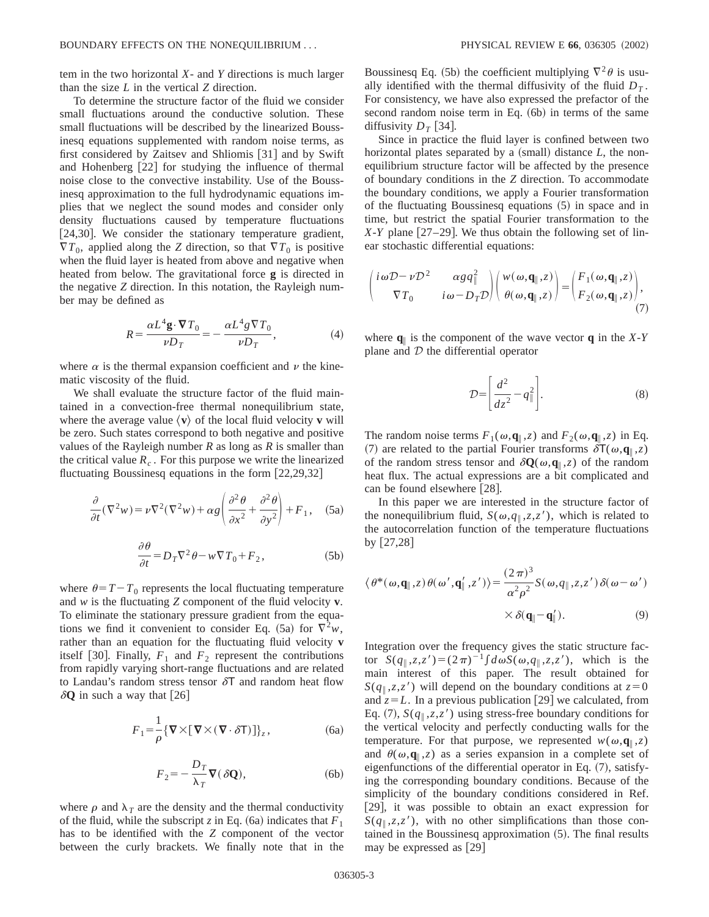To determine the structure factor of the fluid we consider small fluctuations around the conductive solution. These small fluctuations will be described by the linearized Boussinesq equations supplemented with random noise terms, as first considered by Zaitsev and Shliomis  $[31]$  and by Swift and Hohenberg  $[22]$  for studying the influence of thermal noise close to the convective instability. Use of the Boussinesq approximation to the full hydrodynamic equations implies that we neglect the sound modes and consider only density fluctuations caused by temperature fluctuations  $[24,30]$ . We consider the stationary temperature gradient,  $\nabla T_0$ , applied along the *Z* direction, so that  $\nabla T_0$  is positive when the fluid layer is heated from above and negative when heated from below. The gravitational force **g** is directed in the negative *Z* direction. In this notation, the Rayleigh number may be defined as

$$
R = \frac{\alpha L^4 \mathbf{g} \cdot \nabla T_0}{\nu D_T} = -\frac{\alpha L^4 g \nabla T_0}{\nu D_T},\tag{4}
$$

where  $\alpha$  is the thermal expansion coefficient and  $\nu$  the kinematic viscosity of the fluid.

We shall evaluate the structure factor of the fluid maintained in a convection-free thermal nonequilibrium state, where the average value  $\langle \mathbf{v} \rangle$  of the local fluid velocity **v** will be zero. Such states correspond to both negative and positive values of the Rayleigh number *R* as long as *R* is smaller than the critical value  $R_c$ . For this purpose we write the linearized fluctuating Boussinesq equations in the form  $[22,29,32]$ 

$$
\frac{\partial}{\partial t}(\nabla^2 w) = \nu \nabla^2 (\nabla^2 w) + \alpha g \left( \frac{\partial^2 \theta}{\partial x^2} + \frac{\partial^2 \theta}{\partial y^2} \right) + F_1, \quad (5a)
$$

$$
\frac{\partial \theta}{\partial t} = D_T \nabla^2 \theta - w \nabla T_0 + F_2, \tag{5b}
$$

where  $\theta = T - T_0$  represents the local fluctuating temperature and *w* is the fluctuating *Z* component of the fluid velocity **v**. To eliminate the stationary pressure gradient from the equations we find it convenient to consider Eq. (5a) for  $\nabla^2 w$ , rather than an equation for the fluctuating fluid velocity **v** itself [30]. Finally,  $F_1$  and  $F_2$  represent the contributions from rapidly varying short-range fluctuations and are related to Landau's random stress tensor  $\delta T$  and random heat flow  $\delta Q$  in such a way that [26]

$$
F_1 = \frac{1}{\rho} \{ \nabla \times [\nabla \times (\nabla \cdot \delta \mathsf{T})] \}_z, \tag{6a}
$$

$$
F_2 = -\frac{D_T}{\lambda_T} \nabla (\delta \mathbf{Q}),\tag{6b}
$$

where  $\rho$  and  $\lambda_T$  are the density and the thermal conductivity of the fluid, while the subscript *z* in Eq. (6a) indicates that  $F_1$ has to be identified with the *Z* component of the vector between the curly brackets. We finally note that in the Boussinesq Eq. (5b) the coefficient multiplying  $\nabla^2 \theta$  is usually identified with the thermal diffusivity of the fluid  $D_T$ . For consistency, we have also expressed the prefactor of the second random noise term in Eq.  $(6b)$  in terms of the same diffusivity  $D_T$  [34].

Since in practice the fluid layer is confined between two horizontal plates separated by a  $(small)$  distance  $L$ , the nonequilibrium structure factor will be affected by the presence of boundary conditions in the *Z* direction. To accommodate the boundary conditions, we apply a Fourier transformation of the fluctuating Boussinesq equations  $(5)$  in space and in time, but restrict the spatial Fourier transformation to the  $X-Y$  plane [27–29]. We thus obtain the following set of linear stochastic differential equations:

$$
\begin{pmatrix} i\omega D - \nu D^2 & \alpha g q_{\parallel}^2 \\ \nabla T_0 & i\omega - D_T D \end{pmatrix} \begin{pmatrix} w(\omega, \mathbf{q}_{\parallel}, z) \\ \theta(\omega, \mathbf{q}_{\parallel}, z) \end{pmatrix} = \begin{pmatrix} F_1(\omega, \mathbf{q}_{\parallel}, z) \\ F_2(\omega, \mathbf{q}_{\parallel}, z) \end{pmatrix},
$$
\n(7)

where  $q_{\parallel}$  is the component of the wave vector  $q$  in the *X*-*Y* plane and  $D$  the differential operator

$$
\mathcal{D} = \left[ \frac{d^2}{dz^2} - q_{\parallel}^2 \right].
$$
 (8)

The random noise terms  $F_1(\omega, \mathbf{q}_{\parallel}, z)$  and  $F_2(\omega, \mathbf{q}_{\parallel}, z)$  in Eq. (7) are related to the partial Fourier transforms  $\delta T(\omega, \mathbf{q}_{\parallel}, z)$ of the random stress tensor and  $\delta Q(\omega, \mathbf{q}_{\parallel}, z)$  of the random heat flux. The actual expressions are a bit complicated and can be found elsewhere [28].

In this paper we are interested in the structure factor of the nonequilibrium fluid,  $S(\omega, q_{\parallel}, z, z')$ , which is related to the autocorrelation function of the temperature fluctuations by  $[27,28]$ 

$$
\langle \theta^*(\omega, \mathbf{q}_{\parallel}, z) \theta(\omega', \mathbf{q}'_{\parallel}, z') \rangle = \frac{(2\pi)^3}{\alpha^2 \rho^2} S(\omega, q_{\parallel}, z, z') \delta(\omega - \omega')
$$

$$
\times \delta(\mathbf{q}_{\parallel} - \mathbf{q}'_{\parallel}). \tag{9}
$$

Integration over the frequency gives the static structure factor  $S(q_{\parallel}, z, z') = (2\pi)^{-1} \int d\omega S(\omega, q_{\parallel}, z, z')$ , which is the main interest of this paper. The result obtained for  $S(q_{\parallel}, z, z')$  will depend on the boundary conditions at  $z=0$ and  $z=L$ . In a previous publication [29] we calculated, from Eq. (7),  $S(q_{\parallel}, z, z')$  using stress-free boundary conditions for the vertical velocity and perfectly conducting walls for the temperature. For that purpose, we represented  $w(\omega, \mathbf{q}_{\parallel}, z)$ and  $\theta(\omega, \mathbf{q}_{\parallel}, z)$  as a series expansion in a complete set of eigenfunctions of the differential operator in Eq.  $(7)$ , satisfying the corresponding boundary conditions. Because of the simplicity of the boundary conditions considered in Ref. [29], it was possible to obtain an exact expression for  $S(q_{\parallel}, z, z')$ , with no other simplifications than those contained in the Boussinesq approximation  $(5)$ . The final results may be expressed as  $[29]$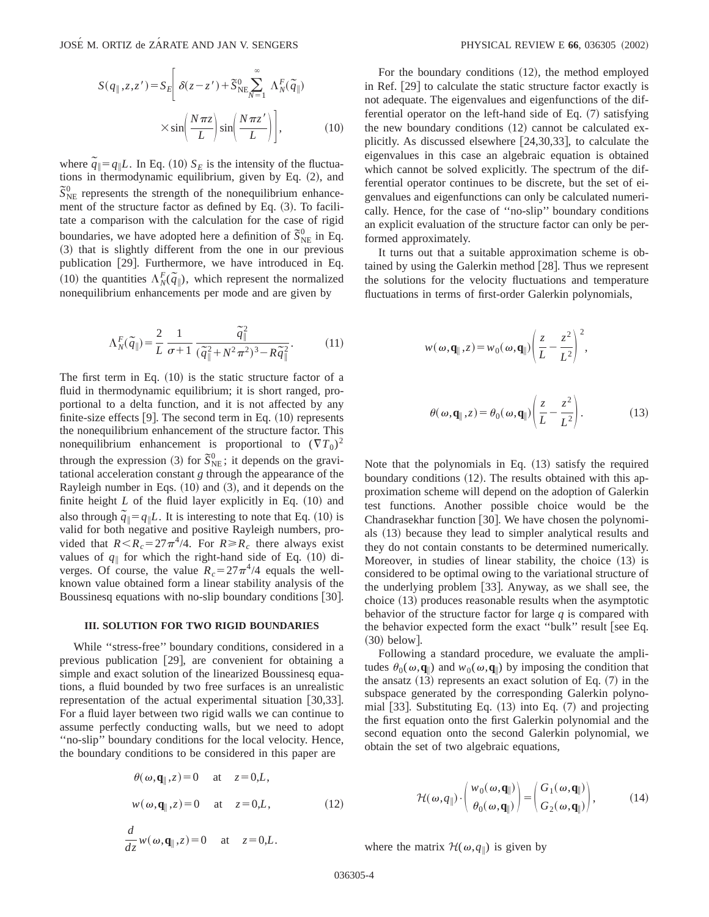$$
S(q_{\parallel}, z, z') = S_E \left[ \delta(z - z') + \tilde{S}_{NE}^{0} \sum_{N=1}^{\infty} \Lambda_N^F(\tilde{q}_{\parallel}) \times \sin\left(\frac{N\pi z}{L}\right) \sin\left(\frac{N\pi z'}{L}\right) \right],
$$
 (10)

where  $\tilde{q}_\parallel = q_\parallel L$ . In Eq. (10)  $S_E$  is the intensity of the fluctuations in thermodynamic equilibrium, given by Eq.  $(2)$ , and  $\tilde{S}_{NE}^{0}$  represents the strength of the nonequilibrium enhancement of the structure factor as defined by Eq.  $(3)$ . To facilitate a comparison with the calculation for the case of rigid boundaries, we have adopted here a definition of  $\bar{S}_{NE}^{0}$  in Eq. ~3! that is slightly different from the one in our previous publication  $[29]$ . Furthermore, we have introduced in Eq.  $\sum_{i=1}^{n}$  **Fig.**  $\sum_{i=1}^{n}$  **Fig.**  $\sum_{i=1}^{n}$  **Fig.**  $\sum_{i=1}^{n}$  **Fig.**  $\sum_{i=1}^{n}$  **Fig.**  $\sum_{i=1}^{n}$  **Fig.**  $\sum_{i=1}^{n}$  **Fig.**  $\sum_{i=1}^{n}$  **Fig.**  $\sum_{i=1}^{n}$  **Fig.**  $\sum_{i=1}^{n}$  **Fig.**  $\sum_{i=1}^{n}$  **Fig.** nonequilibrium enhancements per mode and are given by

$$
\Lambda_N^F(\tilde{q}_{\parallel}) = \frac{2}{L} \frac{1}{\sigma + 1} \frac{\tilde{q}_{\parallel}^2}{(\tilde{q}_{\parallel}^2 + N^2 \pi^2)^3 - R\tilde{q}_{\parallel}^2}.
$$
 (11)

The first term in Eq.  $(10)$  is the static structure factor of a fluid in thermodynamic equilibrium; it is short ranged, proportional to a delta function, and it is not affected by any finite-size effects  $[9]$ . The second term in Eq.  $(10)$  represents the nonequilibrium enhancement of the structure factor. This nonequilibrium enhancement is proportional to  $(\nabla T_0)^2$ through the expression (3) for  $\tilde{S}_{NE}^{0}$ ; it depends on the gravitational acceleration constant *g* through the appearance of the Rayleigh number in Eqs.  $(10)$  and  $(3)$ , and it depends on the finite height  $L$  of the fluid layer explicitly in Eq.  $(10)$  and also through  $\tilde{q}$ <sup>*|*</sup> $\tilde{q}$ *|q*<sub>|</sub> $L$ . It is interesting to note that Eq. (10) is valid for both negative and positive Rayleigh numbers, provided that  $R < R_c = 27\pi^4/4$ . For  $R \ge R_c$  there always exist values of  $q_{\parallel}$  for which the right-hand side of Eq. (10) diverges. Of course, the value  $R_c = 27\pi^4/4$  equals the wellknown value obtained form a linear stability analysis of the Boussinesq equations with no-slip boundary conditions [30].

#### **III. SOLUTION FOR TWO RIGID BOUNDARIES**

While ''stress-free'' boundary conditions, considered in a previous publication [29], are convenient for obtaining a simple and exact solution of the linearized Boussinesq equations, a fluid bounded by two free surfaces is an unrealistic representation of the actual experimental situation  $[30,33]$ . For a fluid layer between two rigid walls we can continue to assume perfectly conducting walls, but we need to adopt ''no-slip'' boundary conditions for the local velocity. Hence, the boundary conditions to be considered in this paper are

$$
\theta(\omega, \mathbf{q}_{\parallel}, z) = 0 \quad \text{at} \quad z = 0, L,
$$
  

$$
w(\omega, \mathbf{q}_{\parallel}, z) = 0 \quad \text{at} \quad z = 0, L,
$$
 (12)

$$
\frac{d}{dz}w(\omega, \mathbf{q}_{\parallel}, z) = 0 \quad \text{at} \quad z = 0, L.
$$

For the boundary conditions  $(12)$ , the method employed in Ref.  $[29]$  to calculate the static structure factor exactly is not adequate. The eigenvalues and eigenfunctions of the differential operator on the left-hand side of Eq.  $(7)$  satisfying the new boundary conditions  $(12)$  cannot be calculated explicitly. As discussed elsewhere  $[24,30,33]$ , to calculate the eigenvalues in this case an algebraic equation is obtained which cannot be solved explicitly. The spectrum of the differential operator continues to be discrete, but the set of eigenvalues and eigenfunctions can only be calculated numerically. Hence, for the case of ''no-slip'' boundary conditions an explicit evaluation of the structure factor can only be performed approximately.

It turns out that a suitable approximation scheme is obtained by using the Galerkin method  $[28]$ . Thus we represent the solutions for the velocity fluctuations and temperature fluctuations in terms of first-order Galerkin polynomials,

$$
w(\omega, \mathbf{q}_{\parallel}, z) = w_0(\omega, \mathbf{q}_{\parallel}) \left( \frac{z}{L} - \frac{z^2}{L^2} \right)^2,
$$
  

$$
\theta(\omega, \mathbf{q}_{\parallel}, z) = \theta_0(\omega, \mathbf{q}_{\parallel}) \left( \frac{z}{L} - \frac{z^2}{L^2} \right).
$$
 (13)

Note that the polynomials in Eq.  $(13)$  satisfy the required boundary conditions  $(12)$ . The results obtained with this approximation scheme will depend on the adoption of Galerkin test functions. Another possible choice would be the Chandrasekhar function [30]. We have chosen the polynomials (13) because they lead to simpler analytical results and they do not contain constants to be determined numerically. Moreover, in studies of linear stability, the choice  $(13)$  is considered to be optimal owing to the variational structure of the underlying problem  $[33]$ . Anyway, as we shall see, the choice  $(13)$  produces reasonable results when the asymptotic behavior of the structure factor for large *q* is compared with the behavior expected form the exact "bulk" result [see Eq.  $(30)$  below.

Following a standard procedure, we evaluate the amplitudes  $\theta_0(\omega, \mathbf{q}_{\parallel})$  and  $w_0(\omega, \mathbf{q}_{\parallel})$  by imposing the condition that the ansatz  $(13)$  represents an exact solution of Eq.  $(7)$  in the subspace generated by the corresponding Galerkin polynomial  $[33]$ . Substituting Eq.  $(13)$  into Eq.  $(7)$  and projecting the first equation onto the first Galerkin polynomial and the second equation onto the second Galerkin polynomial, we obtain the set of two algebraic equations,

$$
\mathcal{H}(\omega, q_{\parallel}) \cdot \begin{pmatrix} w_0(\omega, \mathbf{q}_{\parallel}) \\ \theta_0(\omega, \mathbf{q}_{\parallel}) \end{pmatrix} = \begin{pmatrix} G_1(\omega, \mathbf{q}_{\parallel}) \\ G_2(\omega, \mathbf{q}_{\parallel}) \end{pmatrix}, \quad (14)
$$

where the matrix  $\mathcal{H}(\omega, q_{\parallel})$  is given by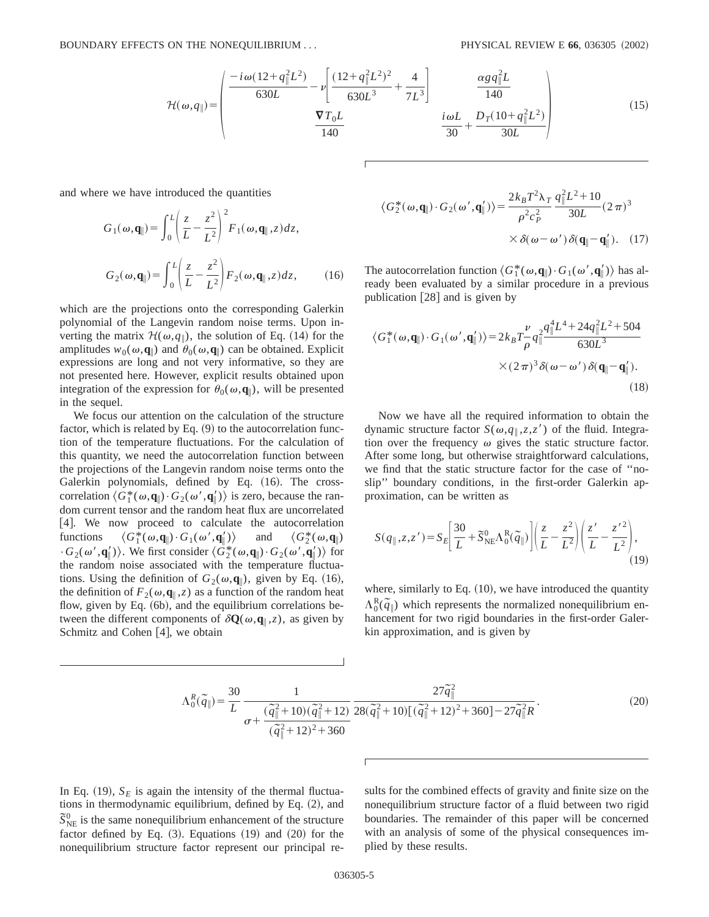$$
\mathcal{H}(\omega, q_{\parallel}) = \begin{pmatrix} \frac{-i\omega(12 + q_{\parallel}^2 L^2)}{630L} - \nu \left[ \frac{(12 + q_{\parallel}^2 L^2)^2}{630L^3} + \frac{4}{7L^3} \right] & \frac{\alpha g q_{\parallel}^2 L}{140} \\ \frac{\nabla T_0 L}{140} & \frac{i\omega L}{30} + \frac{D_T (10 + q_{\parallel}^2 L^2)}{30L} \end{pmatrix}
$$
(15)

and where we have introduced the quantities

$$
G_1(\omega, \mathbf{q}_{\parallel}) = \int_0^L \left(\frac{z}{L} - \frac{z^2}{L^2}\right)^2 F_1(\omega, \mathbf{q}_{\parallel}, z) dz,
$$
  

$$
G_2(\omega, \mathbf{q}_{\parallel}) = \int_0^L \left(\frac{z}{L} - \frac{z^2}{L^2}\right) F_2(\omega, \mathbf{q}_{\parallel}, z) dz,
$$
 (16)

which are the projections onto the corresponding Galerkin polynomial of the Langevin random noise terms. Upon inverting the matrix  $\mathcal{H}(\omega, q_{\parallel})$ , the solution of Eq. (14) for the amplitudes  $w_0(\omega, \mathbf{q}_{\parallel})$  and  $\theta_0(\omega, \mathbf{q}_{\parallel})$  can be obtained. Explicit expressions are long and not very informative, so they are not presented here. However, explicit results obtained upon integration of the expression for  $\theta_0(\omega, \mathbf{q}_\parallel)$ , will be presented in the sequel.

We focus our attention on the calculation of the structure factor, which is related by Eq.  $(9)$  to the autocorrelation function of the temperature fluctuations. For the calculation of this quantity, we need the autocorrelation function between the projections of the Langevin random noise terms onto the Galerkin polynomials, defined by Eq. (16). The crosscorrelation  $\langle G_1^*(\omega, \mathbf{q}_\parallel) \cdot G_2(\omega', \mathbf{q}_\parallel') \rangle$  is zero, because the random current tensor and the random heat flux are uncorrelated  $[4]$ . We now proceed to calculate the autocorrelation functions ^*G*<sup>1</sup>  $\langle G_1^*(\omega, \mathbf{q}_{\parallel}) \cdot G_1(\omega', \mathbf{q}_{\parallel}') \rangle$  $\langle G_2^*(\omega, \mathbf{q}_\parallel) \rangle$  and  $\langle G_2^*(\omega, \mathbf{q}_\parallel) \rangle$  $\cdot G_2(\omega', \mathbf{q}'_{\parallel})$ . We first consider  $\langle G_2^*(\omega, \mathbf{q}_{\parallel}) \cdot G_2(\omega', \mathbf{q}'_{\parallel}) \rangle$  for the random noise associated with the temperature fluctuations. Using the definition of  $G_2(\omega, \mathbf{q}_{\parallel})$ , given by Eq. (16), the definition of  $F_2(\omega, \mathbf{q}_{\parallel}, z)$  as a function of the random heat flow, given by Eq.  $(6b)$ , and the equilibrium correlations between the different components of  $\delta Q(\omega, \mathbf{q}_{\parallel}, z)$ , as given by Schmitz and Cohen  $[4]$ , we obtain

$$
\langle G_2^*(\omega, \mathbf{q}_{\parallel}) \cdot G_2(\omega', \mathbf{q}_{\parallel}') \rangle = \frac{2k_B T^2 \lambda_T}{\rho^2 c_P^2} \frac{q_{\parallel}^2 L^2 + 10}{30L} (2\pi)^3
$$

$$
\times \delta(\omega - \omega') \delta(\mathbf{q}_{\parallel} - \mathbf{q}_{\parallel}'). \quad (17)
$$

The autocorrelation function  $\langle G_1^*(\omega, \mathbf{q}_{\parallel}) \cdot G_1(\omega', \mathbf{q}_{\parallel}') \rangle$  has already been evaluated by a similar procedure in a previous publication  $[28]$  and is given by

$$
\langle G_1^*(\omega, \mathbf{q}_{\parallel}) \cdot G_1(\omega', \mathbf{q}_{\parallel}') \rangle = 2k_B T \frac{\nu}{\rho} q_{\parallel}^2 \frac{q_{\parallel}^4 L^4 + 24q_{\parallel}^2 L^2 + 504}{630L^3} \times (2\pi)^3 \delta(\omega - \omega') \delta(\mathbf{q}_{\parallel} - \mathbf{q}_{\parallel}').
$$
\n(18)

Now we have all the required information to obtain the dynamic structure factor  $S(\omega, q_{\parallel}, z, z')$  of the fluid. Integration over the frequency  $\omega$  gives the static structure factor. After some long, but otherwise straightforward calculations, we find that the static structure factor for the case of ''noslip'' boundary conditions, in the first-order Galerkin approximation, can be written as

$$
S(q_{\parallel},z,z') = S_E \left[ \frac{30}{L} + \tilde{S}_{\text{NE}}^0 \Lambda_0^R(\tilde{q}_{\parallel}) \right] \left( \frac{z}{L} - \frac{z^2}{L^2} \right) \left( \frac{z'}{L} - \frac{z'^2}{L^2} \right),\tag{19}
$$

where, similarly to Eq.  $(10)$ , we have introduced the quantity  $\Lambda_0^R(\tilde{q}_\parallel)$  which represents the normalized nonequilibrium enhancement for two rigid boundaries in the first-order Galerkin approximation, and is given by

$$
\Lambda_0^R(\tilde{q}_{\parallel}) = \frac{30}{L} \frac{1}{\sigma + \frac{(\tilde{q}_{\parallel}^2 + 10)(\tilde{q}_{\parallel}^2 + 12)}{(\tilde{q}_{\parallel}^2 + 12)^2 + 360}} \frac{27\tilde{q}_{\parallel}^2}{28(\tilde{q}_{\parallel}^2 + 10)[(\tilde{q}_{\parallel}^2 + 12)^2 + 360] - 27\tilde{q}_{\parallel}^2 R}.
$$
\n(20)

In Eq. (19),  $S_F$  is again the intensity of the thermal fluctuations in thermodynamic equilibrium, defined by Eq.  $(2)$ , and  $\tilde{S}_{NE}^{0}$  is the same nonequilibrium enhancement of the structure factor defined by Eq.  $(3)$ . Equations  $(19)$  and  $(20)$  for the nonequilibrium structure factor represent our principal results for the combined effects of gravity and finite size on the nonequilibrium structure factor of a fluid between two rigid boundaries. The remainder of this paper will be concerned with an analysis of some of the physical consequences implied by these results.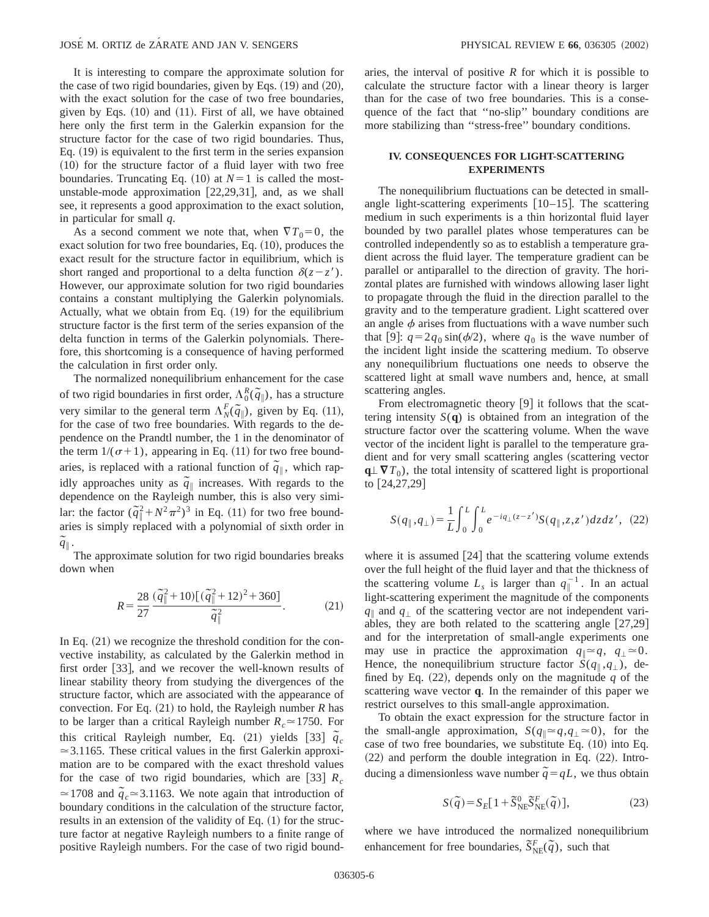It is interesting to compare the approximate solution for the case of two rigid boundaries, given by Eqs.  $(19)$  and  $(20)$ , with the exact solution for the case of two free boundaries, given by Eqs.  $(10)$  and  $(11)$ . First of all, we have obtained here only the first term in the Galerkin expansion for the structure factor for the case of two rigid boundaries. Thus, Eq.  $(19)$  is equivalent to the first term in the series expansion  $(10)$  for the structure factor of a fluid layer with two free boundaries. Truncating Eq.  $(10)$  at  $N=1$  is called the mostunstable-mode approximation  $[22,29,31]$ , and, as we shall see, it represents a good approximation to the exact solution, in particular for small *q*.

As a second comment we note that, when  $\nabla T_0 = 0$ , the exact solution for two free boundaries, Eq.  $(10)$ , produces the exact result for the structure factor in equilibrium, which is short ranged and proportional to a delta function  $\delta(z-z')$ . However, our approximate solution for two rigid boundaries contains a constant multiplying the Galerkin polynomials. Actually, what we obtain from Eq.  $(19)$  for the equilibrium structure factor is the first term of the series expansion of the delta function in terms of the Galerkin polynomials. Therefore, this shortcoming is a consequence of having performed the calculation in first order only.

The normalized nonequilibrium enhancement for the case of two rigid boundaries in first order,  $\Lambda_0^R(\tilde{q}_\parallel)$ , has a structure very similar to the general term  $\Lambda_N^F(\tilde{q}_\parallel)$ , given by Eq. (11), for the case of two free boundaries. With regards to the dependence on the Prandtl number, the 1 in the denominator of the term  $1/(\sigma+1)$ , appearing in Eq. (11) for two free boundaries, is replaced with a rational function of  $\tilde{q}_{\parallel}$ , which rapidly approaches unity as  $\tilde{q}_{\parallel}$  increases. With regards to the dependence on the Rayleigh number, this is also very similar: the factor  $(\tilde{q}_\parallel^2 + N^2 \pi^2)^3$  in Eq. (11) for two free boundaries is simply replaced with a polynomial of sixth order in  $\tilde{\tilde{q}}_{\parallel}$  .

The approximate solution for two rigid boundaries breaks down when

$$
R = \frac{28}{27} \frac{(\tilde{q}_{\parallel}^2 + 10)[(\tilde{q}_{\parallel}^2 + 12)^2 + 360]}{\tilde{q}_{\parallel}^2}.
$$
 (21)

In Eq.  $(21)$  we recognize the threshold condition for the convective instability, as calculated by the Galerkin method in first order  $[33]$ , and we recover the well-known results of linear stability theory from studying the divergences of the structure factor, which are associated with the appearance of convection. For Eq.  $(21)$  to hold, the Rayleigh number *R* has to be larger than a critical Rayleigh number  $R_c \approx 1750$ . For this critical Rayleigh number, Eq.  $(21)$  yields  $\begin{bmatrix} 33 \end{bmatrix} \tilde{q}_c$  $\approx$  3.1165. These critical values in the first Galerkin approximation are to be compared with the exact threshold values for the case of two rigid boundaries, which are  $\begin{bmatrix} 33 \end{bmatrix}$   $R_c$  $\approx$  1708 and  $\tilde{q}_c \approx$  3.1163. We note again that introduction of boundary conditions in the calculation of the structure factor, results in an extension of the validity of Eq.  $(1)$  for the structure factor at negative Rayleigh numbers to a finite range of positive Rayleigh numbers. For the case of two rigid boundaries, the interval of positive *R* for which it is possible to calculate the structure factor with a linear theory is larger than for the case of two free boundaries. This is a consequence of the fact that ''no-slip'' boundary conditions are more stabilizing than ''stress-free'' boundary conditions.

## **IV. CONSEQUENCES FOR LIGHT-SCATTERING EXPERIMENTS**

The nonequilibrium fluctuations can be detected in smallangle light-scattering experiments  $[10-15]$ . The scattering medium in such experiments is a thin horizontal fluid layer bounded by two parallel plates whose temperatures can be controlled independently so as to establish a temperature gradient across the fluid layer. The temperature gradient can be parallel or antiparallel to the direction of gravity. The horizontal plates are furnished with windows allowing laser light to propagate through the fluid in the direction parallel to the gravity and to the temperature gradient. Light scattered over an angle  $\phi$  arises from fluctuations with a wave number such that [9]:  $q=2q_0 \sin(\phi/2)$ , where  $q_0$  is the wave number of the incident light inside the scattering medium. To observe any nonequilibrium fluctuations one needs to observe the scattered light at small wave numbers and, hence, at small scattering angles.

From electromagnetic theory  $[9]$  it follows that the scattering intensity  $S(q)$  is obtained from an integration of the structure factor over the scattering volume. When the wave vector of the incident light is parallel to the temperature gradient and for very small scattering angles (scattering vector  $q \perp \nabla T_0$ , the total intensity of scattered light is proportional to  $[24, 27, 29]$ 

$$
S(q_{\parallel}, q_{\perp}) = \frac{1}{L} \int_0^L \int_0^L e^{-iq_{\perp}(z - z')} S(q_{\parallel}, z, z') dz dz', \tag{22}
$$

where it is assumed  $[24]$  that the scattering volume extends over the full height of the fluid layer and that the thickness of the scattering volume  $L<sub>s</sub>$  is larger than  $q_{\parallel}^{-1}$ . In an actual light-scattering experiment the magnitude of the components  $q_{\parallel}$  and  $q_{\perp}$  of the scattering vector are not independent variables, they are both related to the scattering angle  $[27,29]$ and for the interpretation of small-angle experiments one may use in practice the approximation  $q_{\parallel} \approx q$ ,  $q_{\perp} \approx 0$ . Hence, the nonequilibrium structure factor  $\hat{S}(q_{\parallel}, q_{\perp})$ , defined by Eq.  $(22)$ , depends only on the magnitude q of the scattering wave vector **q**. In the remainder of this paper we restrict ourselves to this small-angle approximation.

To obtain the exact expression for the structure factor in the small-angle approximation,  $S(q_1 \approx q, q_1 \approx 0)$ , for the case of two free boundaries, we substitute Eq.  $(10)$  into Eq.  $(22)$  and perform the double integration in Eq.  $(22)$ . Introducing a dimensionless wave number  $\tilde{q} = qL$ , we thus obtain

$$
S(\tilde{q}) = S_E[1 + \tilde{S}_{NE}^0 \tilde{S}_{NE}^F(\tilde{q})],
$$
\n(23)

where we have introduced the normalized nonequilibrium enhancement for free boundaries,  $\tilde{S}_{NE}^{F}(\tilde{q})$ , such that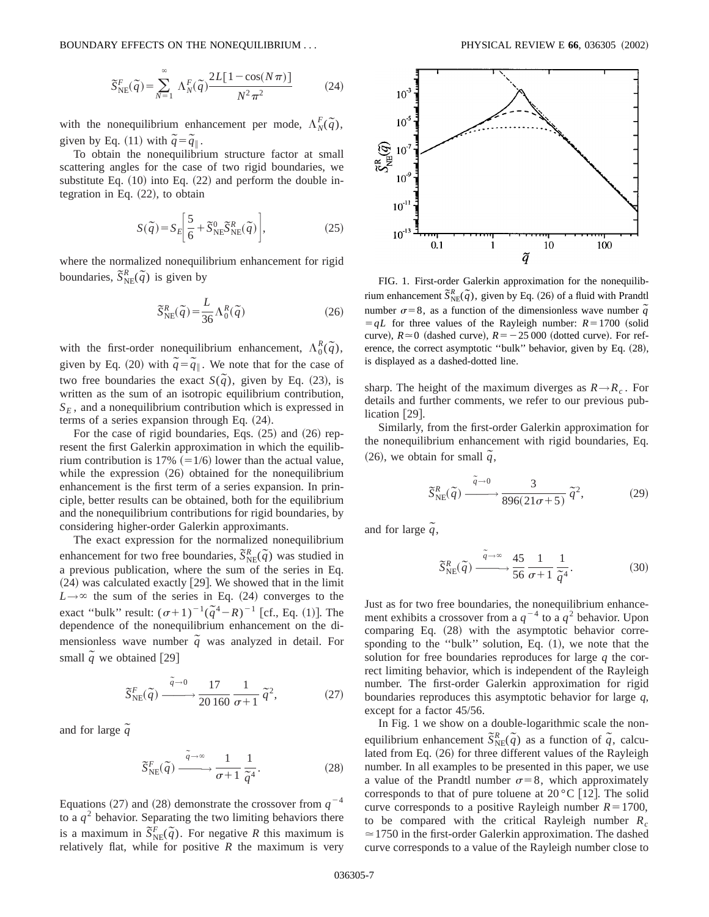BOUNDARY EFFECTS ON THE NONEQUILIBRIUM . . . **PHYSICAL REVIEW E 66**, 036305  $(2002)$ 

$$
\widetilde{S}_{\text{NE}}^F(\widetilde{q}) = \sum_{N=1}^{\infty} \Lambda_N^F(\widetilde{q}) \frac{2L[1 - \cos(N\pi)]}{N^2 \pi^2}
$$
 (24)

with the nonequilibrium enhancement per mode,  $\Lambda_N^F(\tilde{q})$ , given by Eq. (11) with  $\tilde{q} = \tilde{q}_{\parallel}$ .

To obtain the nonequilibrium structure factor at small scattering angles for the case of two rigid boundaries, we substitute Eq.  $(10)$  into Eq.  $(22)$  and perform the double integration in Eq.  $(22)$ , to obtain

$$
S(\tilde{q}) = S_E \bigg[ \frac{5}{6} + \tilde{S}_{\text{NE}}^0 \tilde{S}_{\text{NE}}^R(\tilde{q}) \bigg],\tag{25}
$$

where the normalized nonequilibrium enhancement for rigid boundaries,  $\tilde{S}_{NE}^{R}(\tilde{q})$  is given by

$$
\widetilde{S}_{\text{NE}}^{R}(\widetilde{q}) = \frac{L}{36} \Lambda_{0}^{R}(\widetilde{q})
$$
\n(26)

with the first-order nonequilibrium enhancement,  $\Lambda_0^R(\tilde{q})$ , given by Eq. (20) with  $\tilde{q} = \tilde{q}$ . We note that for the case of two free boundaries the exact  $S(\tilde{q})$ , given by Eq. (23), is written as the sum of an isotropic equilibrium contribution,  $S_E$ , and a nonequilibrium contribution which is expressed in terms of a series expansion through Eq.  $(24)$ .

For the case of rigid boundaries, Eqs.  $(25)$  and  $(26)$  represent the first Galerkin approximation in which the equilibrium contribution is 17%  $(=1/6)$  lower than the actual value, while the expression  $(26)$  obtained for the nonequilibrium enhancement is the first term of a series expansion. In principle, better results can be obtained, both for the equilibrium and the nonequilibrium contributions for rigid boundaries, by considering higher-order Galerkin approximants.

The exact expression for the normalized nonequilibrium enhancement for two free boundaries,  $\tilde{S}_{NE}^{R}(\tilde{q})$  was studied in a previous publication, where the sum of the series in Eq.  $(24)$  was calculated exactly [29]. We showed that in the limit  $L \rightarrow \infty$  the sum of the series in Eq. (24) converges to the exact "bulk" result:  $(\sigma+1)^{-1}(\tilde{q}^4 - R)^{-1}$  [cf., Eq. (1)]. The dependence of the nonequilibrium enhancement on the dimensionless wave number  $\tilde{q}$  was analyzed in detail. For small  $\tilde{q}$  we obtained [29]

$$
\widetilde{S}_{\text{NE}}^{F}(\widetilde{q}) \xrightarrow{\widetilde{q}\to 0} \frac{17}{20\,160} \frac{1}{\sigma+1} \widetilde{q}^2, \tag{27}
$$

and for large  $\tilde{q}$ 

$$
\widetilde{S}_{\text{NE}}^{F}(\widetilde{q}) \xrightarrow{\widetilde{q} \to \infty} \frac{1}{\sigma + 1} \frac{1}{\widetilde{q}^{4}}.
$$
\n(28)

Equations (27) and (28) demonstrate the crossover from  $q^{-4}$ to a  $q<sup>2</sup>$  behavior. Separating the two limiting behaviors there is a maximum in  $\tilde{S}_{NE}^F(\tilde{q})$ . For negative *R* this maximum is relatively flat, while for positive  $R$  the maximum is very



FIG. 1. First-order Galerkin approximation for the nonequilibrium enhancement  $\tilde{S}_{NE}^{R}(\tilde{q})$ , given by Eq. (26) of a fluid with Prandtl number  $\sigma = 8$ , as a function of the dimensionless wave number  $\tilde{q}$  $= qL$  for three values of the Rayleigh number:  $R = 1700$  (solid curve),  $R \approx 0$  (dashed curve),  $R = -25000$  (dotted curve). For reference, the correct asymptotic "bulk" behavior, given by Eq. (28), is displayed as a dashed-dotted line.

sharp. The height of the maximum diverges as  $R \rightarrow R_c$ . For details and further comments, we refer to our previous publication  $[29]$ .

Similarly, from the first-order Galerkin approximation for the nonequilibrium enhancement with rigid boundaries, Eq.  $(26)$ , we obtain for small  $\tilde{q}$ ,

$$
\widetilde{S}_{\text{NE}}^R(\widetilde{q}) \xrightarrow{\widetilde{q}\to 0} \frac{3}{896(21\sigma+5)} \widetilde{q}^2,\tag{29}
$$

and for large  $\tilde{q}$ ,

$$
\widetilde{S}_{\text{NE}}^R(\widetilde{q}) \xrightarrow{\widetilde{q} \to \infty} \frac{45}{56} \frac{1}{\sigma + 1} \frac{1}{\widetilde{q}^4}.
$$
 (30)

Just as for two free boundaries, the nonequilibrium enhancement exhibits a crossover from a  $q^{-4}$  to a  $q^2$  behavior. Upon comparing Eq. (28) with the asymptotic behavior corresponding to the "bulk" solution, Eq.  $(1)$ , we note that the solution for free boundaries reproduces for large *q* the correct limiting behavior, which is independent of the Rayleigh number. The first-order Galerkin approximation for rigid boundaries reproduces this asymptotic behavior for large *q*, except for a factor 45/56.

In Fig. 1 we show on a double-logarithmic scale the nonequilibrium enhancement  $\tilde{S}_{NE}^{R}(\tilde{q})$  as a function of  $\tilde{q}$ , calculated from Eq.  $(26)$  for three different values of the Rayleigh number. In all examples to be presented in this paper, we use a value of the Prandtl number  $\sigma=8$ , which approximately corresponds to that of pure toluene at  $20^{\circ}$ C [12]. The solid curve corresponds to a positive Rayleigh number  $R=1700$ , to be compared with the critical Rayleigh number  $R_c$  $\approx$  1750 in the first-order Galerkin approximation. The dashed curve corresponds to a value of the Rayleigh number close to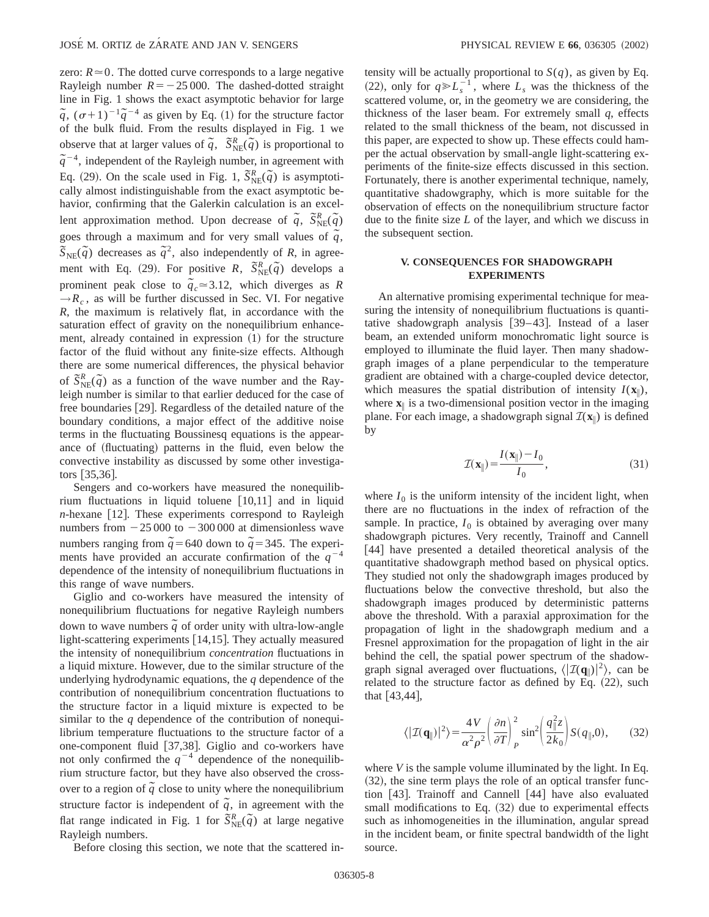zero:  $R \approx 0$ . The dotted curve corresponds to a large negative Rayleigh number  $R = -25000$ . The dashed-dotted straight line in Fig. 1 shows the exact asymptotic behavior for large  $\tilde{q}$ ,  $(\sigma+1)^{-1}\tilde{q}^{-4}$  as given by Eq. (1) for the structure factor of the bulk fluid. From the results displayed in Fig. 1 we observe that at larger values of  $\tilde{q}$ ,  $\tilde{S}_{NE}^{R}(\tilde{q})$  is proportional to  $\tilde{q}^{-4}$ , independent of the Rayleigh number, in agreement with Eq. (29). On the scale used in Fig. 1,  $\tilde{S}_{NE}^{R}(\tilde{q})$  is asymptotically almost indistinguishable from the exact asymptotic behavior, confirming that the Galerkin calculation is an excellent approximation method. Upon decrease of  $\tilde{q}$ ,  $\tilde{S}_{NE}^{R}(\tilde{q})$ goes through a maximum and for very small values of  $\tilde{q}$ ,  $\widetilde{S}_{NE}(\widetilde{q})$  decreases as  $\widetilde{q}^2$ , also independently of *R*, in agreement with Eq. (29). For positive *R*,  $\tilde{S}_{NE}^{R}(\tilde{q})$  develops a prominent peak close to  $q_c \approx 3.12$ , which diverges as *R*  $\rightarrow R_c$ , as will be further discussed in Sec. VI. For negative *R*, the maximum is relatively flat, in accordance with the saturation effect of gravity on the nonequilibrium enhancement, already contained in expression  $(1)$  for the structure factor of the fluid without any finite-size effects. Although there are some numerical differences, the physical behavior of  $\tilde{S}_{NE}^{R}(\tilde{q})$  as a function of the wave number and the Rayleigh number is similar to that earlier deduced for the case of free boundaries [29]. Regardless of the detailed nature of the boundary conditions, a major effect of the additive noise terms in the fluctuating Boussinesq equations is the appearance of (fluctuating) patterns in the fluid, even below the convective instability as discussed by some other investiga- $\text{tors}$  [35,36].

Sengers and co-workers have measured the nonequilibrium fluctuations in liquid toluene  $[10,11]$  and in liquid  $n$ -hexane [12]. These experiments correspond to Rayleigh numbers from  $-25000$  to  $-300000$  at dimensionless wave numbers ranging from  $\tilde{q}$  = 640 down to  $\tilde{q}$  = 345. The experiments have provided an accurate confirmation of the  $q^{-4}$ dependence of the intensity of nonequilibrium fluctuations in this range of wave numbers.

Giglio and co-workers have measured the intensity of nonequilibrium fluctuations for negative Rayleigh numbers  $d$ <sup>2</sup> down to wave numbers  $\tilde{q}$  of order unity with ultra-low-angle light-scattering experiments  $[14,15]$ . They actually measured the intensity of nonequilibrium *concentration* fluctuations in a liquid mixture. However, due to the similar structure of the underlying hydrodynamic equations, the *q* dependence of the contribution of nonequilibrium concentration fluctuations to the structure factor in a liquid mixture is expected to be similar to the *q* dependence of the contribution of nonequilibrium temperature fluctuations to the structure factor of a one-component fluid [37,38]. Giglio and co-workers have not only confirmed the  $q^{-4}$  dependence of the nonequilibrium structure factor, but they have also observed the crossover to a region of  $\tilde{q}$  close to unity where the nonequilibrium structure factor is independent of  $\tilde{q}$ , in agreement with the flat range indicated in Fig. 1 for  $\tilde{S}_{NE}^{R}(\tilde{q})$  at large negative Rayleigh numbers.

Before closing this section, we note that the scattered in-

tensity will be actually proportional to  $S(q)$ , as given by Eq. (22), only for  $q \ge L_s^{-1}$ , where  $L_s$  was the thickness of the scattered volume, or, in the geometry we are considering, the thickness of the laser beam. For extremely small *q*, effects related to the small thickness of the beam, not discussed in this paper, are expected to show up. These effects could hamper the actual observation by small-angle light-scattering experiments of the finite-size effects discussed in this section. Fortunately, there is another experimental technique, namely, quantitative shadowgraphy, which is more suitable for the observation of effects on the nonequilibrium structure factor due to the finite size *L* of the layer, and which we discuss in the subsequent section.

#### **V. CONSEQUENCES FOR SHADOWGRAPH EXPERIMENTS**

An alternative promising experimental technique for measuring the intensity of nonequilibrium fluctuations is quantitative shadowgraph analysis  $[39-43]$ . Instead of a laser beam, an extended uniform monochromatic light source is employed to illuminate the fluid layer. Then many shadowgraph images of a plane perpendicular to the temperature gradient are obtained with a charge-coupled device detector, which measures the spatial distribution of intensity  $I(\mathbf{x})$ , where  $\mathbf{x}$ <sup> $\parallel$ </sup> is a two-dimensional position vector in the imaging plane. For each image, a shadowgraph signal  $\mathcal{I}(\mathbf{x})$  is defined by

$$
\mathcal{I}(\mathbf{x}_{\parallel}) = \frac{I(\mathbf{x}_{\parallel}) - I_0}{I_0},\tag{31}
$$

where  $I_0$  is the uniform intensity of the incident light, when there are no fluctuations in the index of refraction of the sample. In practice,  $I_0$  is obtained by averaging over many shadowgraph pictures. Very recently, Trainoff and Cannell [44] have presented a detailed theoretical analysis of the quantitative shadowgraph method based on physical optics. They studied not only the shadowgraph images produced by fluctuations below the convective threshold, but also the shadowgraph images produced by deterministic patterns above the threshold. With a paraxial approximation for the propagation of light in the shadowgraph medium and a Fresnel approximation for the propagation of light in the air behind the cell, the spatial power spectrum of the shadowgraph signal averaged over fluctuations,  $\langle | \mathcal{I}(\mathbf{q}_{\parallel})|^2 \rangle$ , can be related to the structure factor as defined by Eq.  $(22)$ , such that  $[43, 44]$ ,

$$
\langle |\mathcal{I}(\mathbf{q}_{\parallel})|^2 \rangle = \frac{4V}{\alpha^2 \rho^2} \left( \frac{\partial n}{\partial T} \right)_P^2 \sin^2 \left( \frac{q_{\parallel}^2 z}{2k_0} \right) S(q_{\parallel}, 0), \quad (32)
$$

where *V* is the sample volume illuminated by the light. In Eq.  $(32)$ , the sine term plays the role of an optical transfer function  $[43]$ . Trainoff and Cannell  $[44]$  have also evaluated small modifications to Eq.  $(32)$  due to experimental effects such as inhomogeneities in the illumination, angular spread in the incident beam, or finite spectral bandwidth of the light source.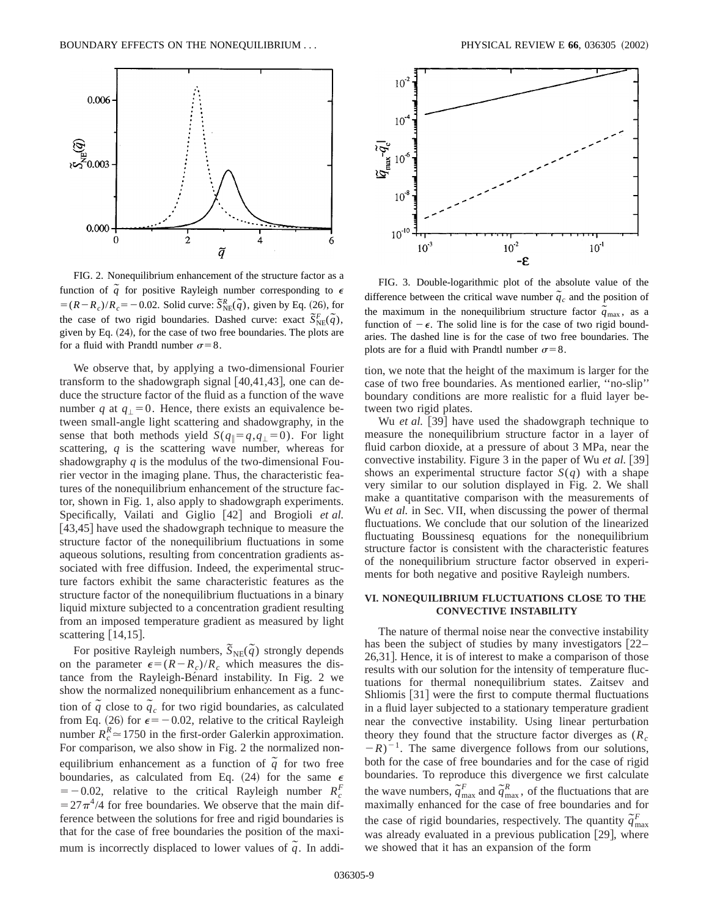

FIG. 2. Nonequilibrium enhancement of the structure factor as a function of  $\tilde{q}$  for positive Rayleigh number corresponding to  $\epsilon$  $=(R-R_c)/R_c = -0.02$ . Solid curve:  $\tilde{S}_{NE}^R(\tilde{q})$ , given by Eq. (26), for the case of two rigid boundaries. Dashed curve: exact  $\tilde{S}_{NE}^F(\tilde{q})$ , given by Eq.  $(24)$ , for the case of two free boundaries. The plots are for a fluid with Prandtl number  $\sigma = 8$ .

We observe that, by applying a two-dimensional Fourier transform to the shadowgraph signal  $[40,41,43]$ , one can deduce the structure factor of the fluid as a function of the wave number *q* at  $q_1 = 0$ . Hence, there exists an equivalence between small-angle light scattering and shadowgraphy, in the sense that both methods yield  $S(q_{\parallel} = q, q_{\perp} = 0)$ . For light scattering, *q* is the scattering wave number, whereas for shadowgraphy *q* is the modulus of the two-dimensional Fourier vector in the imaging plane. Thus, the characteristic features of the nonequilibrium enhancement of the structure factor, shown in Fig. 1, also apply to shadowgraph experiments. Specifically, Vailati and Giglio [42] and Brogioli *et al.*  $[43,45]$  have used the shadowgraph technique to measure the structure factor of the nonequilibrium fluctuations in some aqueous solutions, resulting from concentration gradients associated with free diffusion. Indeed, the experimental structure factors exhibit the same characteristic features as the structure factor of the nonequilibrium fluctuations in a binary liquid mixture subjected to a concentration gradient resulting from an imposed temperature gradient as measured by light scattering  $[14,15]$ .

For positive Rayleigh numbers,  $\tilde{S}_{NE}(\tilde{q})$  strongly depends on the parameter  $\epsilon = (R - R_c)/R_c$  which measures the distance from the Rayleigh-Bénard instability. In Fig. 2 we show the normalized nonequilibrium enhancement as a function of  $\tilde{q}$  close to  $\tilde{q}_c$  for two rigid boundaries, as calculated from Eq. (26) for  $\epsilon = -0.02$ , relative to the critical Rayleigh number  $R_c^R \approx 1750$  in the first-order Galerkin approximation. For comparison, we also show in Fig. 2 the normalized nonequilibrium enhancement as a function of  $\tilde{q}$  for two free boundaries, as calculated from Eq. (24) for the same  $\epsilon$  $=$  -0.02, relative to the critical Rayleigh number  $R_c^F$  $=27\pi^4/4$  for free boundaries. We observe that the main difference between the solutions for free and rigid boundaries is that for the case of free boundaries the position of the maximum is incorrectly displaced to lower values of  $\tilde{q}$ . In addi-



FIG. 3. Double-logarithmic plot of the absolute value of the difference between the critical wave number  $\tilde{q}_c$  and the position of the maximum in the nonequilibrium structure factor  $\tilde{q}_{\text{max}}$ , as a function of  $-\epsilon$ . The solid line is for the case of two rigid boundaries. The dashed line is for the case of two free boundaries. The plots are for a fluid with Prandtl number  $\sigma=8$ .

tion, we note that the height of the maximum is larger for the case of two free boundaries. As mentioned earlier, ''no-slip'' boundary conditions are more realistic for a fluid layer between two rigid plates.

Wu *et al.* [39] have used the shadowgraph technique to measure the nonequilibrium structure factor in a layer of fluid carbon dioxide, at a pressure of about 3 MPa, near the convective instability. Figure  $3$  in the paper of Wu *et al.*  $|39|$ shows an experimental structure factor  $S(q)$  with a shape very similar to our solution displayed in Fig. 2. We shall make a quantitative comparison with the measurements of Wu *et al.* in Sec. VII, when discussing the power of thermal fluctuations. We conclude that our solution of the linearized fluctuating Boussinesq equations for the nonequilibrium structure factor is consistent with the characteristic features of the nonequilibrium structure factor observed in experiments for both negative and positive Rayleigh numbers.

### **VI. NONEQUILIBRIUM FLUCTUATIONS CLOSE TO THE CONVECTIVE INSTABILITY**

The nature of thermal noise near the convective instability has been the subject of studies by many investigators  $[22]$ 26,31]. Hence, it is of interest to make a comparison of those results with our solution for the intensity of temperature fluctuations for thermal nonequilibrium states. Zaitsev and Shliomis  $|31|$  were the first to compute thermal fluctuations in a fluid layer subjected to a stationary temperature gradient near the convective instability. Using linear perturbation theory they found that the structure factor diverges as  $(R<sub>c</sub>)$  $(R - R)^{-1}$ . The same divergence follows from our solutions, both for the case of free boundaries and for the case of rigid boundaries. To reproduce this divergence we first calculate the wave numbers,  $\tilde{q}^F_{\text{max}}$  and  $\tilde{q}^R_{\text{max}}$ , of the fluctuations that are maximally enhanced for the case of free boundaries and for the case of rigid boundaries, respectively. The quantity  $\tilde{q}^F_{\text{max}}$ was already evaluated in a previous publication  $[29]$ , where we showed that it has an expansion of the form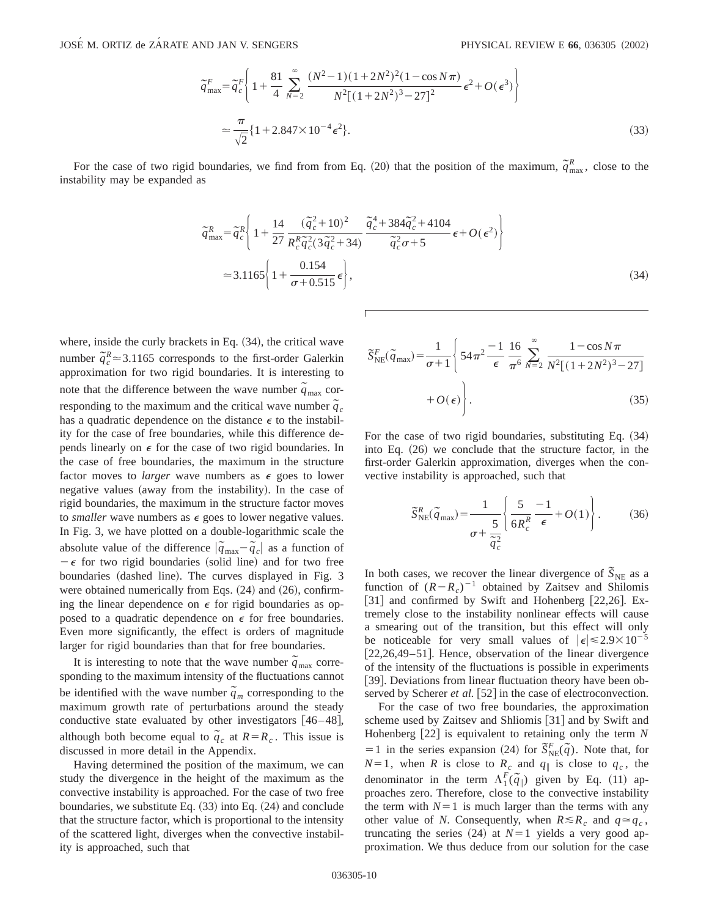$$
\widetilde{q}_{\max}^F = \widetilde{q}_c^F \left\{ 1 + \frac{81}{4} \sum_{N=2}^{\infty} \frac{(N^2 - 1)(1 + 2N^2)^2 (1 - \cos N\pi)}{N^2 [(1 + 2N^2)^3 - 27]^2} \epsilon^2 + O(\epsilon^3) \right\}
$$
\n
$$
\approx \frac{\pi}{\sqrt{2}} \{ 1 + 2.847 \times 10^{-4} \epsilon^2 \}. \tag{33}
$$

For the case of two rigid boundaries, we find from from Eq. (20) that the position of the maximum,  $\tilde{q}_{\text{max}}^R$ , close to the instability may be expanded as

$$
\tilde{q}_{\max}^{R} = \tilde{q}_{c}^{R} \left\{ 1 + \frac{14}{27} \frac{(\tilde{q}_{c}^{2} + 10)^{2}}{R_{c}^{R} \tilde{q}_{c}^{2} (3\tilde{q}_{c}^{2} + 34)} \frac{\tilde{q}_{c}^{4} + 384 \tilde{q}_{c}^{2} + 4104}{\tilde{q}_{c}^{2} \sigma + 5} \epsilon + O(\epsilon^{2}) \right\}
$$
\n
$$
\approx 3.1165 \left\{ 1 + \frac{0.154}{\sigma + 0.515} \epsilon \right\},
$$
\n(34)

where, inside the curly brackets in Eq.  $(34)$ , the critical wave number  $\tilde{q}_c^R \approx 3.1165$  corresponds to the first-order Galerkin approximation for two rigid boundaries. It is interesting to note that the difference between the wave number  $\tilde{q}_{\text{max}}$  corresponding to the maximum and the critical wave number  $\tilde{q}_c$ has a quadratic dependence on the distance  $\epsilon$  to the instability for the case of free boundaries, while this difference depends linearly on  $\epsilon$  for the case of two rigid boundaries. In the case of free boundaries, the maximum in the structure factor moves to *larger* wave numbers as  $\epsilon$  goes to lower negative values (away from the instability). In the case of rigid boundaries, the maximum in the structure factor moves to *smaller* wave numbers as  $\epsilon$  goes to lower negative values. In Fig. 3, we have plotted on a double-logarithmic scale the absolute value of the difference  $|\tilde{q}_{\text{max}} - \tilde{q}_c|$  as a function of  $-\epsilon$  for two rigid boundaries (solid line) and for two free boundaries (dashed line). The curves displayed in Fig. 3 were obtained numerically from Eqs.  $(24)$  and  $(26)$ , confirming the linear dependence on  $\epsilon$  for rigid boundaries as opposed to a quadratic dependence on  $\epsilon$  for free boundaries. Even more significantly, the effect is orders of magnitude larger for rigid boundaries than that for free boundaries.

It is interesting to note that the wave number  $\tilde{q}_{\text{max}}$  corresponding to the maximum intensity of the fluctuations cannot be identified with the wave number  $\tilde{q}_m$  corresponding to the maximum growth rate of perturbations around the steady conductive state evaluated by other investigators  $[46-48]$ , although both become equal to  $\tilde{q}_c$  at  $R = R_c$ . This issue is discussed in more detail in the Appendix.

Having determined the position of the maximum, we can study the divergence in the height of the maximum as the convective instability is approached. For the case of two free boundaries, we substitute Eq.  $(33)$  into Eq.  $(24)$  and conclude that the structure factor, which is proportional to the intensity of the scattered light, diverges when the convective instability is approached, such that

$$
\widetilde{S}_{\text{NE}}^{F}(\widetilde{q}_{\text{max}}) = \frac{1}{\sigma + 1} \left\{ 54\pi^{2} \frac{-1}{\epsilon} \frac{16}{\pi^{6}} \sum_{N=2}^{\infty} \frac{1 - \cos N\pi}{N^{2}[(1 + 2N^{2})^{3} - 27]} + O(\epsilon) \right\}.
$$
\n(35)

For the case of two rigid boundaries, substituting Eq.  $(34)$ into Eq.  $(26)$  we conclude that the structure factor, in the first-order Galerkin approximation, diverges when the convective instability is approached, such that

$$
\widetilde{S}_{\text{NE}}^{R}(\widetilde{q}_{\text{max}}) = \frac{1}{\sigma + \frac{5}{\widetilde{q}_{c}^{2}}} \left\{ \frac{5}{6R_{c}^{R}} \frac{-1}{\epsilon} + O(1) \right\}.
$$
 (36)

In both cases, we recover the linear divergence of  $\tilde{S}_{NE}$  as a function of  $(R-R<sub>c</sub>)^{-1}$  obtained by Zaitsev and Shilomis [31] and confirmed by Swift and Hohenberg [22,26]. Extremely close to the instability nonlinear effects will cause a smearing out of the transition, but this effect will only be noticeable for very small values of  $|\epsilon| \le 2.9 \times 10^{-5}$  $[22,26,49-51]$ . Hence, observation of the linear divergence of the intensity of the fluctuations is possible in experiments [39]. Deviations from linear fluctuation theory have been observed by Scherer *et al.* [52] in the case of electroconvection.

For the case of two free boundaries, the approximation scheme used by Zaitsev and Shliomis [31] and by Swift and Hohenberg  $[22]$  is equivalent to retaining only the term  $N$  $= 1$  in the series expansion (24) for  $\tilde{S}_{NE}^{F}(\tilde{q})$ . Note that, for  $N=1$ , when *R* is close to  $R_c$  and  $q_{\parallel}$  is close to  $q_c$ , the denominator in the term  $\Lambda_1^F(\tilde{q}_\parallel)$  given by Eq. (11) approaches zero. Therefore, close to the convective instability the term with  $N=1$  is much larger than the terms with any other value of *N*. Consequently, when  $R \le R_c$  and  $q \approx q_c$ , truncating the series  $(24)$  at  $N=1$  yields a very good approximation. We thus deduce from our solution for the case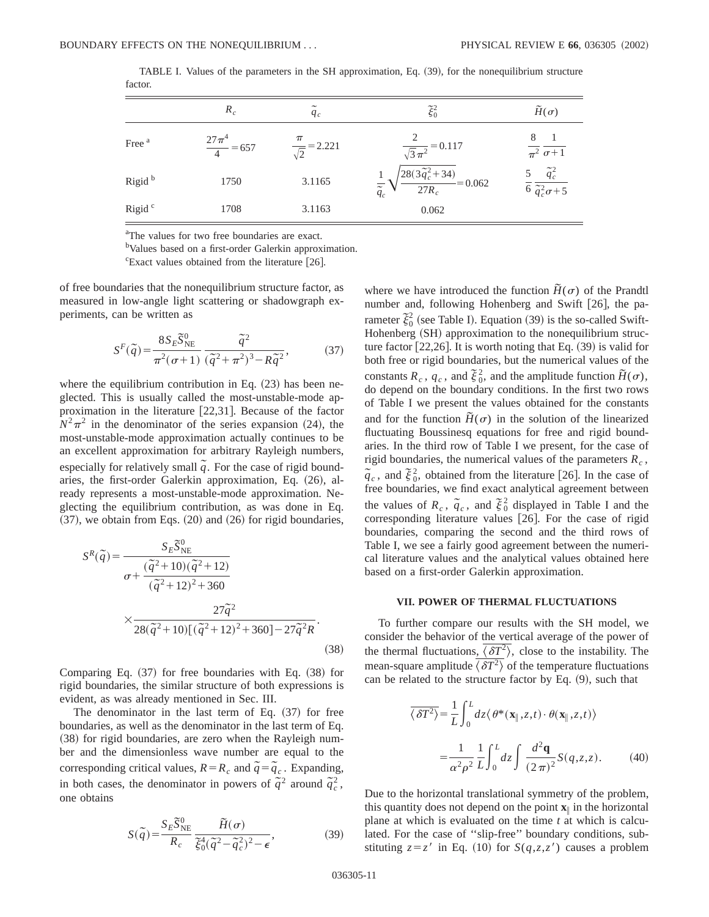|                    | $R_c$                     | $q_c$                          | $\tilde{\xi}_0^2$                                                                          | $\widetilde{H}(\sigma)$                                      |
|--------------------|---------------------------|--------------------------------|--------------------------------------------------------------------------------------------|--------------------------------------------------------------|
| Free <sup>a</sup>  | $\frac{27\pi^4}{4} = 657$ | $\frac{\pi}{\sqrt{2}}$ = 2.221 | $\frac{2}{\sqrt{3}\pi^2}$ = 0.117                                                          | $\overline{\pi^2} \overline{\sigma+1}$                       |
| Rigid <sup>b</sup> | 1750                      | 3.1165                         | $\frac{1}{\tilde{q}_{c}}\sqrt{\frac{28(\overline{3\tilde{q}_{c}}^{2}+34)}{27R_{c}}}=0.062$ | $\frac{5}{6} \frac{\tilde{q}_c^2}{\tilde{q}_c^2 \sigma + 5}$ |
| Rigid <sup>c</sup> | 1708                      | 3.1163                         | 0.062                                                                                      |                                                              |

TABLE I. Values of the parameters in the SH approximation, Eq.  $(39)$ , for the nonequilibrium structure factor.

<sup>a</sup>The values for two free boundaries are exact.

<sup>b</sup>Values based on a first-order Galerkin approximation.

 $\text{c}^{\text{c}}$ Exact values obtained from the literature [26].

of free boundaries that the nonequilibrium structure factor, as measured in low-angle light scattering or shadowgraph experiments, can be written as

$$
S^{F}(\tilde{q}) = \frac{8S_{E}\tilde{S}_{NE}^{0}}{\pi^{2}(\sigma+1)} \frac{\tilde{q}^{2}}{(\tilde{q}^{2}+\pi^{2})^{3}-R\tilde{q}^{2}},
$$
(37)

where the equilibrium contribution in Eq.  $(23)$  has been neglected. This is usually called the most-unstable-mode approximation in the literature  $[22,31]$ . Because of the factor  $N^2\pi^2$  in the denominator of the series expansion (24), the most-unstable-mode approximation actually continues to be an excellent approximation for arbitrary Rayleigh numbers, especially for relatively small  $\tilde{q}$ . For the case of rigid boundaries, the first-order Galerkin approximation, Eq.  $(26)$ , already represents a most-unstable-mode approximation. Neglecting the equilibrium contribution, as was done in Eq.  $(37)$ , we obtain from Eqs.  $(20)$  and  $(26)$  for rigid boundaries,

$$
S^{R}(\tilde{q}) = \frac{S_{E}\overline{S}_{NE}^{0}}{\sigma + \frac{(\tilde{q}^{2} + 10)(\tilde{q}^{2} + 12)}{(\tilde{q}^{2} + 12)^{2} + 360}}
$$

$$
\times \frac{27\tilde{q}^{2}}{28(\tilde{q}^{2} + 10)[(\tilde{q}^{2} + 12)^{2} + 360] - 27\tilde{q}^{2}R}.
$$
(38)

Comparing Eq.  $(37)$  for free boundaries with Eq.  $(38)$  for rigid boundaries, the similar structure of both expressions is evident, as was already mentioned in Sec. III.

The denominator in the last term of Eq.  $(37)$  for free boundaries, as well as the denominator in the last term of Eq.  $(38)$  for rigid boundaries, are zero when the Rayleigh number and the dimensionless wave number are equal to the corresponding critical values,  $R = R_c$  and  $\tilde{q} = \tilde{q}_c$ . Expanding, in both cases, the denominator in powers of  $\tilde{q}^2$  around  $\tilde{q}^2_c$ , one obtains

$$
S(\tilde{q}) = \frac{S_E \tilde{S}_{NE}^0}{R_c} \frac{\tilde{H}(\sigma)}{\tilde{\xi}_0^4 (\tilde{q}^2 - \tilde{q}_c^2)^2 - \epsilon},
$$
(39)

where we have introduced the function  $\tilde{H}(\sigma)$  of the Prandtl number and, following Hohenberg and Swift  $[26]$ , the parameter  $\zeta_0^2$  (see Table I). Equation (39) is the so-called Swift-Hohenberg (SH) approximation to the nonequilibrium structure factor  $[22,26]$ . It is worth noting that Eq.  $(39)$  is valid for both free or rigid boundaries, but the numerical values of the constants  $R_c$ ,  $q_c$ , and  $\tilde{\xi}_0^2$ , and the amplitude function  $\tilde{H}(\sigma)$ , do depend on the boundary conditions. In the first two rows of Table I we present the values obtained for the constants and for the function  $\tilde{H}(\sigma)$  in the solution of the linearized fluctuating Boussinesq equations for free and rigid boundaries. In the third row of Table I we present, for the case of rigid boundaries, the numerical values of the parameters  $R_c$ ,  $\tilde{q}_c$ , and  $\tilde{\xi}_0^2$ , obtained from the literature [26]. In the case of free boundaries, we find exact analytical agreement between the values of  $R_c$ ,  $\tilde{q}_c$ , and  $\tilde{\xi}_0^2$  displayed in Table I and the corresponding literature values  $[26]$ . For the case of rigid boundaries, comparing the second and the third rows of Table I, we see a fairly good agreement between the numerical literature values and the analytical values obtained here based on a first-order Galerkin approximation.

#### **VII. POWER OF THERMAL FLUCTUATIONS**

To further compare our results with the SH model, we consider the behavior of the vertical average of the power of the thermal fluctuations,  $\langle \delta T^2 \rangle$ , close to the instability. The mean-square amplitude  $\langle \delta T^2 \rangle$  of the temperature fluctuations can be related to the structure factor by Eq.  $(9)$ , such that

$$
\overline{\langle \delta T^2 \rangle} = \frac{1}{L} \int_0^L dz \langle \theta^* (\mathbf{x}_{\parallel}, z, t) \cdot \theta (\mathbf{x}_{\parallel}, z, t) \rangle
$$

$$
= \frac{1}{\alpha^2 \rho^2} \frac{1}{L} \int_0^L dz \int \frac{d^2 \mathbf{q}}{(2\pi)^2} S(q, z, z). \tag{40}
$$

Due to the horizontal translational symmetry of the problem, this quantity does not depend on the point  $\mathbf{x}_{\parallel}$  in the horizontal plane at which is evaluated on the time *t* at which is calculated. For the case of ''slip-free'' boundary conditions, substituting  $z = z'$  in Eq. (10) for  $S(q, z, z')$  causes a problem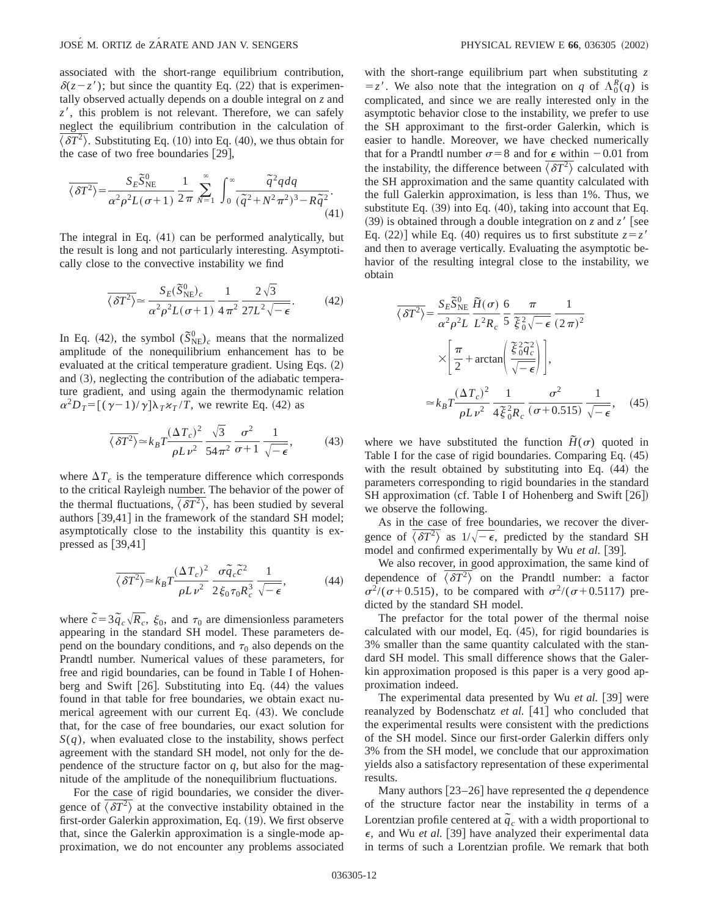associated with the short-range equilibrium contribution,  $\delta(z-z')$ ; but since the quantity Eq. (22) that is experimentally observed actually depends on a double integral on *z* and  $z'$ , this problem is not relevant. Therefore, we can safely neglect the equilibrium contribution in the calculation of  $\langle \delta T^2 \rangle$ . Substituting Eq. (10) into Eq. (40), we thus obtain for the case of two free boundaries  $[29]$ ,

$$
\overline{\langle \delta T^2 \rangle} = \frac{S_E \overline{S}_{NE}^0}{\alpha^2 \rho^2 L(\sigma + 1)} \frac{1}{2\pi} \sum_{N=1}^{\infty} \int_0^{\infty} \frac{\overline{q}^2 q dq}{(\overline{q}^2 + N^2 \pi^2)^3 - R \overline{q}^2}.
$$
\n(41)

The integral in Eq.  $(41)$  can be performed analytically, but the result is long and not particularly interesting. Asymptotically close to the convective instability we find

$$
\overline{\langle \delta T^2 \rangle} \simeq \frac{S_E(\overline{S}_{\text{NE}}^0)_c}{\alpha^2 \rho^2 L(\sigma + 1)} \frac{1}{4 \pi^2} \frac{2 \sqrt{3}}{27L^2 \sqrt{-\epsilon}}.
$$
 (42)

In Eq. (42), the symbol  $(\tilde{S}_{\text{NE}}^0)_c$  means that the normalized amplitude of the nonequilibrium enhancement has to be evaluated at the critical temperature gradient. Using Eqs.  $(2)$ and  $(3)$ , neglecting the contribution of the adiabatic temperature gradient, and using again the thermodynamic relation  $\alpha^2 D_T = [(\gamma - 1)/\gamma] \lambda_T \kappa_T / T$ , we rewrite Eq. (42) as

$$
\overline{\langle \delta T^2 \rangle} \simeq k_B T \frac{(\Delta T_c)^2}{\rho L \nu^2} \frac{\sqrt{3}}{54 \pi^2} \frac{\sigma^2}{\sigma + 1} \frac{1}{\sqrt{-\epsilon}},
$$
(43)

where  $\Delta T_c$  is the temperature difference which corresponds to the critical Rayleigh number. The behavior of the power of the thermal fluctuations,  $\langle \delta T^2 \rangle$ , has been studied by several authors  $[39,41]$  in the framework of the standard SH model; asymptotically close to the instability this quantity is expressed as  $[39,41]$ 

$$
\overline{\langle \delta T^2 \rangle} \simeq k_B T \frac{(\Delta T_c)^2}{\rho L \nu^2} \frac{\sigma \tilde{q}_c \tilde{c}^2}{2 \xi_0 \tau_0 R_c^3} \frac{1}{\sqrt{-\epsilon}},\tag{44}
$$

where  $\tilde{c} = 3 \tilde{q}_c \sqrt{R_c}$ ,  $\xi_0$ , and  $\tau_0$  are dimensionless parameters appearing in the standard SH model. These parameters depend on the boundary conditions, and  $\tau_0$  also depends on the Prandtl number. Numerical values of these parameters, for free and rigid boundaries, can be found in Table I of Hohenberg and Swift  $[26]$ . Substituting into Eq.  $(44)$  the values found in that table for free boundaries, we obtain exact numerical agreement with our current Eq.  $(43)$ . We conclude that, for the case of free boundaries, our exact solution for *S*(*q*), when evaluated close to the instability, shows perfect agreement with the standard SH model, not only for the dependence of the structure factor on  $q$ , but also for the magnitude of the amplitude of the nonequilibrium fluctuations.

For the case of rigid boundaries, we consider the divergence of  $\langle \delta T^2 \rangle$  at the convective instability obtained in the first-order Galerkin approximation, Eq. (19). We first observe that, since the Galerkin approximation is a single-mode approximation, we do not encounter any problems associated with the short-range equilibrium part when substituting *z*  $= z'$ . We also note that the integration on *q* of  $\Lambda_0^R(q)$  is complicated, and since we are really interested only in the asymptotic behavior close to the instability, we prefer to use the SH approximant to the first-order Galerkin, which is easier to handle. Moreover, we have checked numerically that for a Prandtl number  $\sigma$ =8 and for  $\epsilon$  within -0.01 from the instability, the difference between  $\overline{\langle \delta T^2 \rangle}$  calculated with the SH approximation and the same quantity calculated with the full Galerkin approximation, is less than 1%. Thus, we substitute Eq.  $(39)$  into Eq.  $(40)$ , taking into account that Eq.  $(39)$  is obtained through a double integration on *z* and *z'* [see Eq. (22)] while Eq. (40) requires us to first substitute  $z = z'$ and then to average vertically. Evaluating the asymptotic behavior of the resulting integral close to the instability, we obtain

$$
\overline{\langle \delta T^2 \rangle} = \frac{S_E \overline{S}_{NE}^0}{\alpha^2 \rho^2 L} \frac{\overline{H}(\sigma)}{L^2 R_c} \frac{6}{5} \frac{\pi}{\xi_0^2 \sqrt{-\epsilon}} \frac{1}{(2\pi)^2}
$$

$$
\times \left[ \frac{\pi}{2} + \arctan\left(\frac{\xi_0^2 \overline{q}_c^2}{\sqrt{-\epsilon}}\right) \right],
$$

$$
\approx k_B T \frac{(\Delta T_c)^2}{\rho L \nu^2} \frac{1}{4 \overline{\xi}_0^2 R_c} \frac{\sigma^2}{(\sigma + 0.515)} \frac{1}{\sqrt{-\epsilon}}, \quad (45)
$$

where we have substituted the function  $\tilde{H}(\sigma)$  quoted in Table I for the case of rigid boundaries. Comparing Eq.  $(45)$ with the result obtained by substituting into Eq.  $(44)$  the parameters corresponding to rigid boundaries in the standard SH approximation (cf. Table I of Hohenberg and Swift [26]) we observe the following.

As in the case of free boundaries, we recover the divergence of  $\overline{\langle \delta T^2 \rangle}$  as  $1/\sqrt{-\epsilon}$ , predicted by the standard SH model and confirmed experimentally by Wu et al. [39].

We also recover, in good approximation, the same kind of dependence of  $\overline{\langle \delta T^2 \rangle}$  on the Prandtl number: a factor  $\sigma^2/(\sigma+0.515)$ , to be compared with  $\sigma^2/(\sigma+0.5117)$  predicted by the standard SH model.

The prefactor for the total power of the thermal noise calculated with our model, Eq.  $(45)$ , for rigid boundaries is 3% smaller than the same quantity calculated with the standard SH model. This small difference shows that the Galerkin approximation proposed is this paper is a very good approximation indeed.

The experimental data presented by Wu *et al.* [39] were reanalyzed by Bodenschatz *et al.* [41] who concluded that the experimental results were consistent with the predictions of the SH model. Since our first-order Galerkin differs only 3% from the SH model, we conclude that our approximation yields also a satisfactory representation of these experimental results.

Many authors  $\lceil 23-26 \rceil$  have represented the *q* dependence of the structure factor near the instability in terms of a Lorentzian profile centered at  $\tilde{q}_c$  with a width proportional to  $\epsilon$ , and Wu *et al.* [39] have analyzed their experimental data in terms of such a Lorentzian profile. We remark that both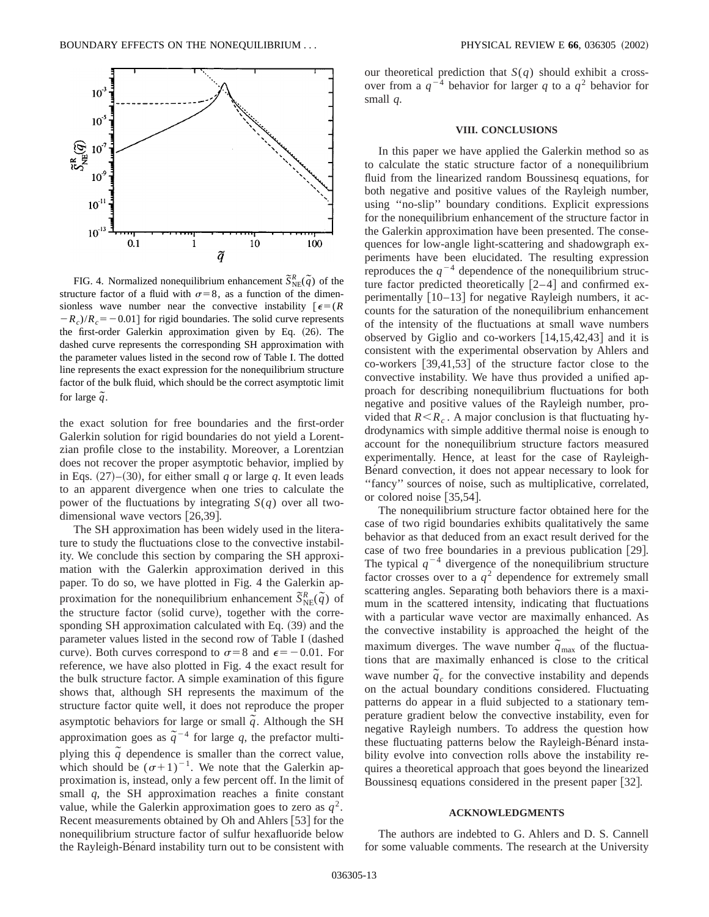

FIG. 4. Normalized nonequilibrium enhancement  $\tilde{S}_{NE}^{R}(\tilde{q})$  of the structure factor of a fluid with  $\sigma=8$ , as a function of the dimensionless wave number near the convective instability  $\epsilon = (R \epsilon)^{-1}$  $-R_c$ )/ $R_c$ = -0.01] for rigid boundaries. The solid curve represents the first-order Galerkin approximation given by Eq.  $(26)$ . The dashed curve represents the corresponding SH approximation with the parameter values listed in the second row of Table I. The dotted line represents the exact expression for the nonequilibrium structure factor of the bulk fluid, which should be the correct asymptotic limit for large  $\tilde{q}$ .

the exact solution for free boundaries and the first-order Galerkin solution for rigid boundaries do not yield a Lorentzian profile close to the instability. Moreover, a Lorentzian does not recover the proper asymptotic behavior, implied by in Eqs.  $(27)$ – $(30)$ , for either small *q* or large *q*. It even leads to an apparent divergence when one tries to calculate the power of the fluctuations by integrating  $S(q)$  over all twodimensional wave vectors  $[26,39]$ .

The SH approximation has been widely used in the literature to study the fluctuations close to the convective instability. We conclude this section by comparing the SH approximation with the Galerkin approximation derived in this paper. To do so, we have plotted in Fig. 4 the Galerkin approximation for the nonequilibrium enhancement  $\tilde{S}_{NE}^{R}(\tilde{q})$  of the structure factor (solid curve), together with the corresponding SH approximation calculated with Eq.  $(39)$  and the parameter values listed in the second row of Table I (dashed curve). Both curves correspond to  $\sigma=8$  and  $\epsilon=-0.01$ . For reference, we have also plotted in Fig. 4 the exact result for the bulk structure factor. A simple examination of this figure shows that, although SH represents the maximum of the structure factor quite well, it does not reproduce the proper asymptotic behaviors for large or small  $\tilde{q}$ . Although the SH approximation goes as  $\tilde{q}^{-4}$  for large *q*, the prefactor multiplying this  $\tilde{q}$  dependence is smaller than the correct value, which should be  $(\sigma+1)^{-1}$ . We note that the Galerkin approximation is, instead, only a few percent off. In the limit of small *q*, the SH approximation reaches a finite constant value, while the Galerkin approximation goes to zero as  $q^2$ . Recent measurements obtained by Oh and Ahlers [53] for the nonequilibrium structure factor of sulfur hexafluoride below the Rayleigh-Benard instability turn out to be consistent with our theoretical prediction that *S*(*q*) should exhibit a crossover from a  $q^{-4}$  behavior for larger q to a  $q^2$  behavior for small *q*.

#### **VIII. CONCLUSIONS**

In this paper we have applied the Galerkin method so as to calculate the static structure factor of a nonequilibrium fluid from the linearized random Boussinesq equations, for both negative and positive values of the Rayleigh number, using ''no-slip'' boundary conditions. Explicit expressions for the nonequilibrium enhancement of the structure factor in the Galerkin approximation have been presented. The consequences for low-angle light-scattering and shadowgraph experiments have been elucidated. The resulting expression reproduces the  $q^{-4}$  dependence of the nonequilibrium structure factor predicted theoretically  $[2-4]$  and confirmed experimentally  $[10-13]$  for negative Rayleigh numbers, it accounts for the saturation of the nonequilibrium enhancement of the intensity of the fluctuations at small wave numbers observed by Giglio and co-workers  $[14,15,42,43]$  and it is consistent with the experimental observation by Ahlers and co-workers  $\left[39,41,53\right]$  of the structure factor close to the convective instability. We have thus provided a unified approach for describing nonequilibrium fluctuations for both negative and positive values of the Rayleigh number, provided that  $R \le R_c$ . A major conclusion is that fluctuating hydrodynamics with simple additive thermal noise is enough to account for the nonequilibrium structure factors measured experimentally. Hence, at least for the case of Rayleigh-Bénard convection, it does not appear necessary to look for "fancy" sources of noise, such as multiplicative, correlated, or colored noise  $[35,54]$ .

The nonequilibrium structure factor obtained here for the case of two rigid boundaries exhibits qualitatively the same behavior as that deduced from an exact result derived for the case of two free boundaries in a previous publication  $[29]$ . The typical  $q^{-4}$  divergence of the nonequilibrium structure factor crosses over to a  $q^2$  dependence for extremely small scattering angles. Separating both behaviors there is a maximum in the scattered intensity, indicating that fluctuations with a particular wave vector are maximally enhanced. As the convective instability is approached the height of the maximum diverges. The wave number  $\tilde{q}_{\text{max}}$  of the fluctuations that are maximally enhanced is close to the critical wave number  $\tilde{q}_c$  for the convective instability and depends on the actual boundary conditions considered. Fluctuating patterns do appear in a fluid subjected to a stationary temperature gradient below the convective instability, even for negative Rayleigh numbers. To address the question how these fluctuating patterns below the Rayleigh-Be $\hat{\theta}$  instability evolve into convection rolls above the instability requires a theoretical approach that goes beyond the linearized Boussinesq equations considered in the present paper [32].

#### **ACKNOWLEDGMENTS**

The authors are indebted to G. Ahlers and D. S. Cannell for some valuable comments. The research at the University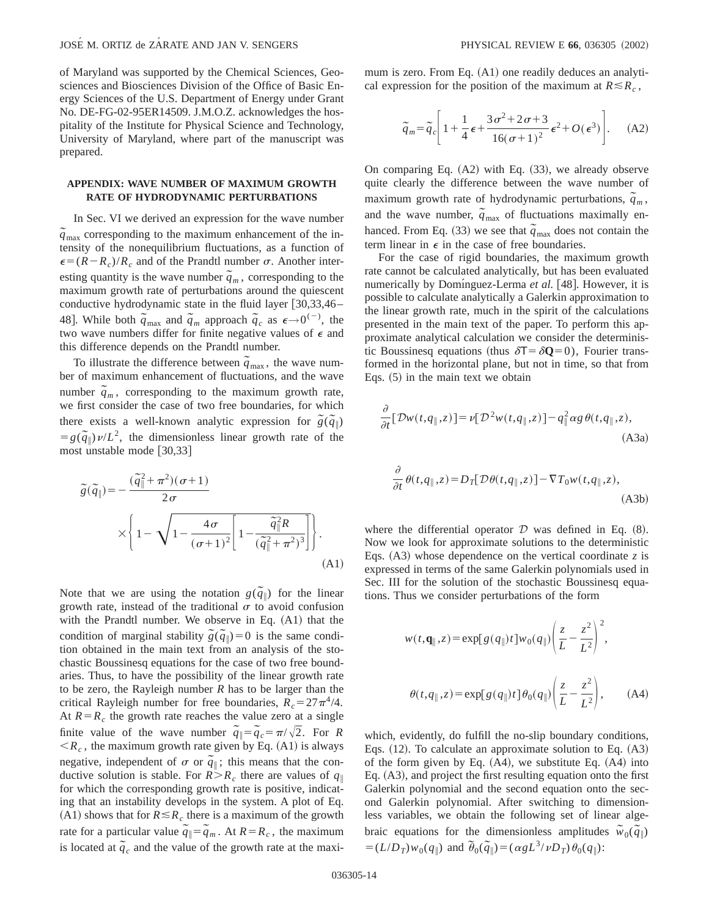of Maryland was supported by the Chemical Sciences, Geosciences and Biosciences Division of the Office of Basic Energy Sciences of the U.S. Department of Energy under Grant No. DE-FG-02-95ER14509. J.M.O.Z. acknowledges the hospitality of the Institute for Physical Science and Technology, University of Maryland, where part of the manuscript was prepared.

### **APPENDIX: WAVE NUMBER OF MAXIMUM GROWTH RATE OF HYDRODYNAMIC PERTURBATIONS**

In Sec. VI we derived an expression for the wave number  $\tilde{q}_{\text{max}}$  corresponding to the maximum enhancement of the intensity of the nonequilibrium fluctuations, as a function of  $\epsilon = (R - R_c)/R_c$  and of the Prandtl number  $\sigma$ . Another interesting quantity is the wave number  $\tilde{q}_m$ , corresponding to the maximum growth rate of perturbations around the quiescent conductive hydrodynamic state in the fluid layer  $[30,33,46-$ 48]. While both  $\tilde{q}_{max}$  and  $\tilde{q}_m$  approach  $\tilde{q}_c$  as  $\epsilon \rightarrow 0^{(-)}$ , the two wave numbers differ for finite negative values of  $\epsilon$  and this difference depends on the Prandtl number.

To illustrate the difference between  $\tilde{q}_{\text{max}}$ , the wave number of maximum enhancement of fluctuations, and the wave number  $\tilde{q}_m$ , corresponding to the maximum growth rate, we first consider the case of two free boundaries, for which there exists a well-known analytic expression for  $\tilde{g}(\tilde{q}_\parallel)$  $= g(\tilde{q}_\parallel) \nu/L^2$ , the dimensionless linear growth rate of the most unstable mode  $[30,33]$ 

$$
\tilde{g}(\tilde{q}_{\parallel}) = -\frac{(\tilde{q}_{\parallel}^2 + \pi^2)(\sigma + 1)}{2\sigma}
$$
\n
$$
\times \left\{ 1 - \sqrt{1 - \frac{4\sigma}{(\sigma + 1)^2} \left[ 1 - \frac{\tilde{q}_{\parallel}^2 R}{(\tilde{q}_{\parallel}^2 + \pi^2)^3} \right] \right\}. \tag{A1}
$$

Note that we are using the notation  $g(\tilde{q}_{\parallel})$  for the linear growth rate, instead of the traditional  $\sigma$  to avoid confusion with the Prandtl number. We observe in Eq.  $(A1)$  that the condition of marginal stability  $\tilde{g}(\tilde{q}_{\parallel})=0$  is the same condition obtained in the main text from an analysis of the stochastic Boussinesq equations for the case of two free boundaries. Thus, to have the possibility of the linear growth rate to be zero, the Rayleigh number *R* has to be larger than the critical Rayleigh number for free boundaries,  $R_c = 27\pi^4/4$ . At  $R = R_c$  the growth rate reaches the value zero at a single finite value of the wave number  $\tilde{q}_\parallel = \tilde{q}_c = \pi / \sqrt{2}$ . For *R*  $\langle R_c, \rangle$ , the maximum growth rate given by Eq. (A1) is always negative, independent of  $\sigma$  or  $\tilde{q}$ <sup> $\parallel$ </sup>; this means that the conductive solution is stable. For  $R > R_c$  there are values of  $q_{\parallel}$ for which the corresponding growth rate is positive, indicating that an instability develops in the system. A plot of Eq.  $(A1)$  shows that for  $R \leq R_c$  there is a maximum of the growth rate for a particular value  $\tilde{q}_\parallel = \tilde{q}_m$ . At  $R = R_c$ , the maximum is located at  $\tilde{q}_c$  and the value of the growth rate at the maximum is zero. From Eq.  $(A1)$  one readily deduces an analytical expression for the position of the maximum at  $R \le R_c$ ,

$$
\tilde{q}_m = \tilde{q}_c \left[ 1 + \frac{1}{4} \epsilon + \frac{3 \sigma^2 + 2 \sigma + 3}{16(\sigma + 1)^2} \epsilon^2 + O(\epsilon^3) \right]. \tag{A2}
$$

On comparing Eq.  $(A2)$  with Eq.  $(33)$ , we already observe quite clearly the difference between the wave number of maximum growth rate of hydrodynamic perturbations,  $\tilde{q}_m$ , and the wave number,  $\tilde{q}_{max}$  of fluctuations maximally enhanced. From Eq.  $(33)$  we see that  $\tilde{q}_{\text{max}}$  does not contain the term linear in  $\epsilon$  in the case of free boundaries.

For the case of rigid boundaries, the maximum growth rate cannot be calculated analytically, but has been evaluated numerically by Domínguez-Lerma *et al.* [48]. However, it is possible to calculate analytically a Galerkin approximation to the linear growth rate, much in the spirit of the calculations presented in the main text of the paper. To perform this approximate analytical calculation we consider the deterministic Boussinesq equations (thus  $\delta T = \delta Q = 0$ ), Fourier transformed in the horizontal plane, but not in time, so that from Eqs.  $(5)$  in the main text we obtain

$$
\frac{\partial}{\partial t} [\mathcal{D}w(t, q_{\parallel}, z)] = \nu [\mathcal{D}^2 w(t, q_{\parallel}, z)] - q_{\parallel}^2 \alpha g \, \theta(t, q_{\parallel}, z),
$$
\n(A3a)

$$
\frac{\partial}{\partial t}\theta(t, q_{\parallel}, z) = D_T[\mathcal{D}\theta(t, q_{\parallel}, z)] - \nabla T_0 w(t, q_{\parallel}, z),
$$
\n(A3b)

where the differential operator  $D$  was defined in Eq.  $(8)$ . Now we look for approximate solutions to the deterministic Eqs.  $(A3)$  whose dependence on the vertical coordinate *z* is expressed in terms of the same Galerkin polynomials used in Sec. III for the solution of the stochastic Boussinesq equations. Thus we consider perturbations of the form

$$
w(t, \mathbf{q}_{\parallel}, z) = \exp[g(q_{\parallel})t]w_0(q_{\parallel}) \left(\frac{z}{L} - \frac{z^2}{L^2}\right)^2,
$$
  

$$
\theta(t, q_{\parallel}, z) = \exp[g(q_{\parallel})t] \theta_0(q_{\parallel}) \left(\frac{z}{L} - \frac{z^2}{L^2}\right), \qquad (A4)
$$

which, evidently, do fulfill the no-slip boundary conditions, Eqs.  $(12)$ . To calculate an approximate solution to Eq.  $(A3)$ of the form given by Eq.  $(A4)$ , we substitute Eq.  $(A4)$  into Eq.  $(A3)$ , and project the first resulting equation onto the first Galerkin polynomial and the second equation onto the second Galerkin polynomial. After switching to dimensionless variables, we obtain the following set of linear algebraic equations for the dimensionless amplitudes  $\tilde{w}_0(\tilde{q}_\parallel)$  $= (L/D_T)w_0(q_\parallel)$  and  $\tilde{\theta}_0(\tilde{q}_\parallel) = (\alpha g L^3/vD_T)\theta_0(q_\parallel)$ :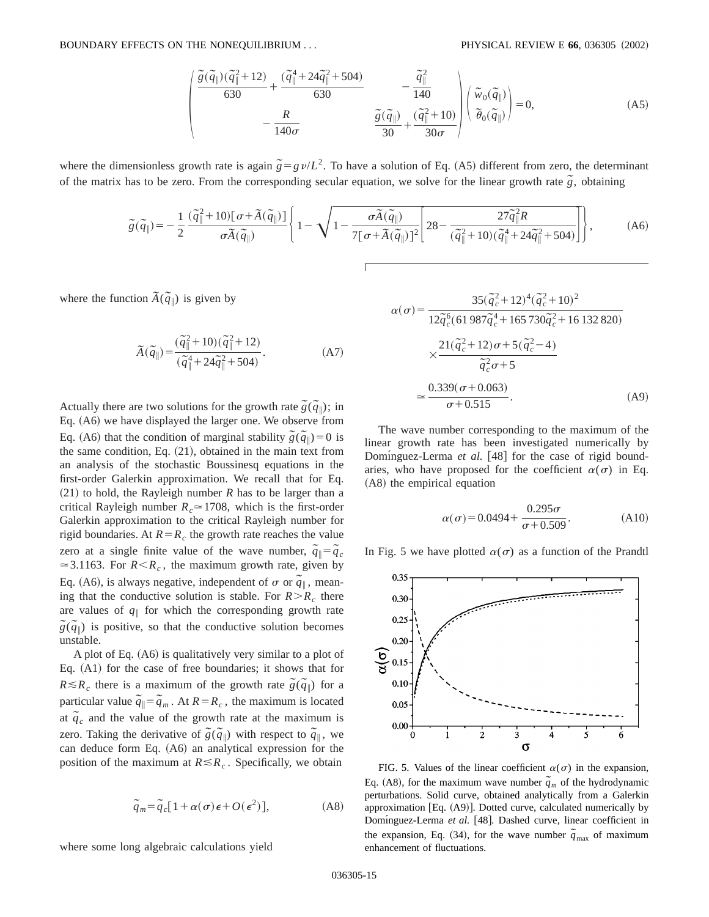$$
\begin{pmatrix}\n\frac{\tilde{g}(\tilde{q}_{\parallel})(\tilde{q}_{\parallel}^2+12)}{630} + \frac{(\tilde{q}_{\parallel}^4 + 24\tilde{q}_{\parallel}^2 + 504)}{630} & -\frac{\tilde{q}_{\parallel}^2}{140} \\
-\frac{R}{140\sigma} & \frac{\tilde{g}(\tilde{q}_{\parallel})}{30} + \frac{(\tilde{q}_{\parallel}^2 + 10)}{30\sigma}\n\end{pmatrix}\n\begin{pmatrix}\n\tilde{w}_0(\tilde{q}_{\parallel}) \\
\tilde{\theta}_0(\tilde{q}_{\parallel})\n\end{pmatrix} = 0,
$$
\n(A5)

where the dimensionless growth rate is again  $\tilde{g} = g \nu / L^2$ . To have a solution of Eq. (A5) different from zero, the determinant of the matrix has to be zero. From the corresponding secular equation, we solve for the linear growth rate  $\tilde{g}$ , obtaining

$$
\tilde{g}(\tilde{q}_{\parallel}) = -\frac{1}{2} \frac{(\tilde{q}_{\parallel}^2 + 10)[\sigma + \tilde{A}(\tilde{q}_{\parallel})]}{\sigma \tilde{A}(\tilde{q}_{\parallel})} \left\{ 1 - \sqrt{1 - \frac{\sigma \tilde{A}(\tilde{q}_{\parallel})}{7[\sigma + \tilde{A}(\tilde{q}_{\parallel})]^2} \left[ 28 - \frac{27 \tilde{q}_{\parallel}^2 R}{(\tilde{q}_{\parallel}^2 + 10)(\tilde{q}_{\parallel}^4 + 24 \tilde{q}_{\parallel}^2 + 504)} \right] \right\},
$$
 (A6)

where the function  $\widetilde{A}(\widetilde{q}_{\parallel})$  is given by

$$
\widetilde{A}(\widetilde{q}\Vert) = \frac{(\widetilde{q}\Vert + 10)(\widetilde{q}\Vert + 12)}{(\widetilde{q}\Vert + 24\widetilde{q}\Vert + 504)}.
$$
\n(A7)

Actually there are two solutions for the growth rate  $\tilde{g}(\tilde{q}_{\parallel})$ ; in Eq. (A6) we have displayed the larger one. We observe from Eq. (A6) that the condition of marginal stability  $\tilde{g}(\tilde{q}_{\parallel})=0$  is the same condition, Eq.  $(21)$ , obtained in the main text from an analysis of the stochastic Boussinesq equations in the first-order Galerkin approximation. We recall that for Eq.  $(21)$  to hold, the Rayleigh number *R* has to be larger than a critical Rayleigh number  $R_c \approx 1708$ , which is the first-order Galerkin approximation to the critical Rayleigh number for rigid boundaries. At  $R = R_c$  the growth rate reaches the value zero at a single finite value of the wave number,  $\tilde{q}_\parallel = \tilde{q}_c$  $\approx$  3.1163. For *R*<*R<sub>c</sub>*, the maximum growth rate, given by Eq. (A6), is always negative, independent of  $\sigma$  or  $\tilde{q}_\parallel$ , meaning that the conductive solution is stable. For  $R > R_c$  there are values of  $q_{\parallel}$  for which the corresponding growth rate  $\tilde{g}(\tilde{q}_{\parallel})$  is positive, so that the conductive solution becomes unstable.

A plot of Eq.  $(A6)$  is qualitatively very similar to a plot of Eq.  $(A1)$  for the case of free boundaries; it shows that for  $R \le R_c$  there is a maximum of the growth rate  $\tilde{g}(\tilde{q}_{\parallel})$  for a particular value  $\tilde{q}_\parallel = \tilde{q}_m$ . At  $R = R_c$ , the maximum is located at  $\tilde{q}_c$  and the value of the growth rate at the maximum is zero. Taking the derivative of  $\tilde{g}(\tilde{q}_{\parallel})$  with respect to  $\tilde{q}_{\parallel}$ , we can deduce form Eq.  $(A6)$  an analytical expression for the position of the maximum at  $R \le R_c$ . Specifically, we obtain

$$
\tilde{q}_m = \tilde{q}_c [1 + \alpha(\sigma) \epsilon + O(\epsilon^2)], \tag{A8}
$$

where some long algebraic calculations yield

$$
\alpha(\sigma) = \frac{35(\tilde{q}_c^2 + 12)^4(\tilde{q}_c^2 + 10)^2}{12\tilde{q}_c^6(61987\tilde{q}_c^4 + 165730\tilde{q}_c^2 + 16132820)}
$$

$$
\times \frac{21(\tilde{q}_c^2 + 12)\sigma + 5(\tilde{q}_c^2 - 4)}{\tilde{q}_c^2\sigma + 5}
$$

$$
\approx \frac{0.339(\sigma + 0.063)}{\sigma + 0.515}.
$$
(A9)

The wave number corresponding to the maximum of the linear growth rate has been investigated numerically by Dominguez-Lerma *et al.* [48] for the case of rigid boundaries, who have proposed for the coefficient  $\alpha(\sigma)$  in Eq. (A8) the empirical equation

$$
\alpha(\sigma) = 0.0494 + \frac{0.295\sigma}{\sigma + 0.509}.
$$
 (A10)

In Fig. 5 we have plotted  $\alpha(\sigma)$  as a function of the Prandtl



FIG. 5. Values of the linear coefficient  $\alpha(\sigma)$  in the expansion, Eq. (A8), for the maximum wave number  $\tilde{q}_m$  of the hydrodynamic perturbations. Solid curve, obtained analytically from a Galerkin approximation [Eq.  $(A9)$ ]. Dotted curve, calculated numerically by Domínguez-Lerma et al. [48]. Dashed curve, linear coefficient in the expansion, Eq. (34), for the wave number  $\tilde{q}_{\text{max}}$  of maximum enhancement of fluctuations.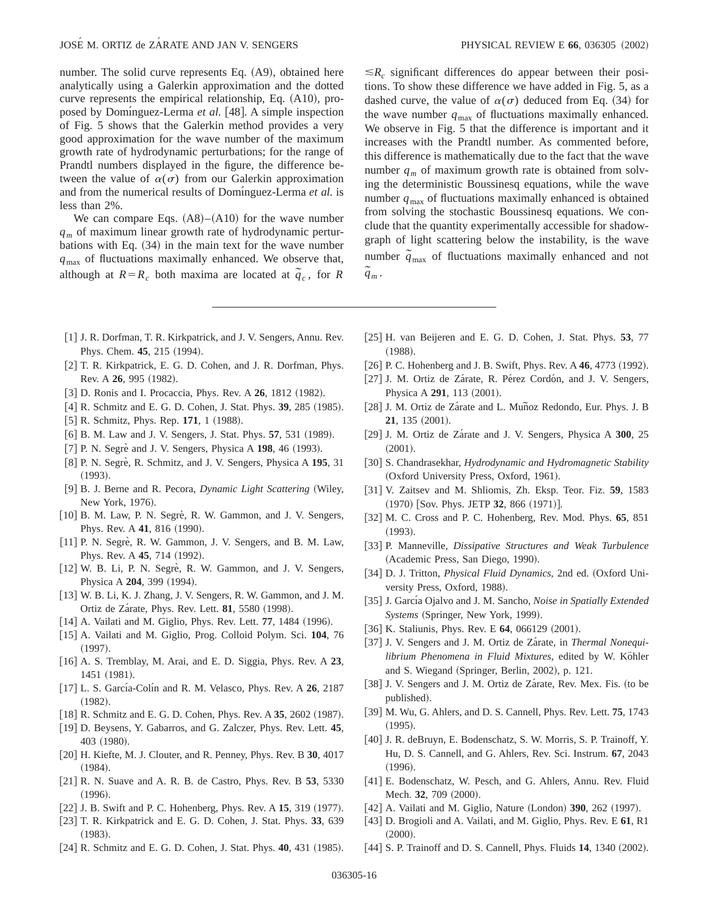number. The solid curve represents Eq.  $(A9)$ , obtained here analytically using a Galerkin approximation and the dotted curve represents the empirical relationship, Eq.  $(A10)$ , proposed by Dominguez-Lerma *et al.* [48]. A simple inspection of Fig. 5 shows that the Galerkin method provides a very good approximation for the wave number of the maximum growth rate of hydrodynamic perturbations; for the range of Prandtl numbers displayed in the figure, the difference between the value of  $\alpha(\sigma)$  from our Galerkin approximation and from the numerical results of Dominguez-Lerma *et al.* is less than 2%.

We can compare Eqs.  $(A8)–(A10)$  for the wave number *qm* of maximum linear growth rate of hydrodynamic perturbations with Eq.  $(34)$  in the main text for the wave number *q*max of fluctuations maximally enhanced. We observe that, although at  $R = R_c$  both maxima are located at  $\tilde{q}_c$ , for *R* 

 $\leq R_c$  significant differences do appear between their positions. To show these difference we have added in Fig. 5, as a dashed curve, the value of  $\alpha(\sigma)$  deduced from Eq. (34) for the wave number  $q_{\text{max}}$  of fluctuations maximally enhanced. We observe in Fig. 5 that the difference is important and it increases with the Prandtl number. As commented before, this difference is mathematically due to the fact that the wave number  $q_m$  of maximum growth rate is obtained from solving the deterministic Boussinesq equations, while the wave number  $q_{\text{max}}$  of fluctuations maximally enhanced is obtained from solving the stochastic Boussinesq equations. We conclude that the quantity experimentally accessible for shadowgraph of light scattering below the instability, is the wave number  $\tilde{q}_{\text{max}}$  of fluctuations maximally enhanced and not  $\tilde{q}_m$ .

- [1] J. R. Dorfman, T. R. Kirkpatrick, and J. V. Sengers, Annu. Rev. Phys. Chem. **45**, 215 (1994).
- [2] T. R. Kirkpatrick, E. G. D. Cohen, and J. R. Dorfman, Phys. Rev. A **26**, 995 (1982).
- [3] D. Ronis and I. Procaccia, Phys. Rev. A **26**, 1812 (1982).
- [4] R. Schmitz and E. G. D. Cohen, J. Stat. Phys. 39, 285 (1985).
- [5] R. Schmitz, Phys. Rep. 171, 1 (1988).
- [6] B. M. Law and J. V. Sengers, J. Stat. Phys. **57**, 531 (1989).
- [7] P. N. Segre` and J. V. Sengers, Physica A **198**, 46 (1993).
- [8] P. N. Segrè, R. Schmitz, and J. V. Sengers, Physica A **195**, 31  $(1993).$
- [9] B. J. Berne and R. Pecora, *Dynamic Light Scattering* (Wiley, New York, 1976).
- [10] B. M. Law, P. N. Segrè, R. W. Gammon, and J. V. Sengers, Phys. Rev. A 41, 816 (1990).
- [11] P. N. Segrè, R. W. Gammon, J. V. Sengers, and B. M. Law, Phys. Rev. A 45, 714 (1992).
- [12] W. B. Li, P. N. Segrè, R. W. Gammon, and J. V. Sengers, Physica A **204**, 399 (1994).
- [13] W. B. Li, K. J. Zhang, J. V. Sengers, R. W. Gammon, and J. M. Ortiz de Zárate, Phys. Rev. Lett. **81**, 5580 (1998).
- [14] A. Vailati and M. Giglio, Phys. Rev. Lett. **77**, 1484 (1996).
- @15# A. Vailati and M. Giglio, Prog. Colloid Polym. Sci. **104**, 76  $(1997).$
- [16] A. S. Tremblay, M. Arai, and E. D. Siggia, Phys. Rev. A 23, 1451 (1981).
- [17] L. S. García-Colín and R. M. Velasco, Phys. Rev. A 26, 2187  $(1982).$
- $[18]$  R. Schmitz and E. G. D. Cohen, Phys. Rev. A  $35$ , 2602 (1987).
- [19] D. Beysens, Y. Gabarros, and G. Zalczer, Phys. Rev. Lett. **45**, 403 (1980).
- [20] H. Kiefte, M. J. Clouter, and R. Penney, Phys. Rev. B 30, 4017  $(1984).$
- [21] R. N. Suave and A. R. B. de Castro, Phys. Rev. B **53**, 5330  $(1996).$
- [22] J. B. Swift and P. C. Hohenberg, Phys. Rev. A 15, 319 (1977).
- @23# T. R. Kirkpatrick and E. G. D. Cohen, J. Stat. Phys. **33**, 639  $(1983).$
- [24] R. Schmitz and E. G. D. Cohen, J. Stat. Phys. **40**, 431 (1985).
- [25] H. van Beijeren and E. G. D. Cohen, J. Stat. Phys. **53**, 77  $(1988).$
- [26] P. C. Hohenberg and J. B. Swift, Phys. Rev. A 46, 4773 (1992).
- [27] J. M. Ortiz de Zárate, R. Pérez Cordón, and J. V. Sengers, Physica A **291**, 113 (2001).
- [28] J. M. Ortiz de Zárate and L. Muñoz Redondo, Eur. Phys. J. B **21**, 135 (2001).
- [29] J. M. Ortiz de Zarate and J. V. Sengers, Physica A 300, 25  $(2001).$
- [30] S. Chandrasekhar, *Hydrodynamic and Hydromagnetic Stability* (Oxford University Press, Oxford, 1961).
- [31] V. Zaitsev and M. Shliomis, Zh. Eksp. Teor. Fiz. 59, 1583 (1970) [Sov. Phys. JETP 32, 866 (1971)].
- [32] M. C. Cross and P. C. Hohenberg, Rev. Mod. Phys. **65**, 851  $(1993).$
- [33] P. Manneville, *Dissipative Structures and Weak Turbulence* (Academic Press, San Diego, 1990).
- [34] D. J. Tritton, *Physical Fluid Dynamics*, 2nd ed. (Oxford University Press, Oxford, 1988).
- [35] J. García Ojalvo and J. M. Sancho, *Noise in Spatially Extended Systems* (Springer, New York, 1999).
- [36] K. Staliunis, Phys. Rev. E 64, 066129 (2001).
- [37] J. V. Sengers and J. M. Ortiz de Zarate, in *Thermal Nonequilibrium Phenomena in Fluid Mixtures*, edited by W. Köhler and S. Wiegand (Springer, Berlin, 2002), p. 121.
- [38] J. V. Sengers and J. M. Ortiz de Zarate, Rev. Mex. Fis. (to be published).
- [39] M. Wu, G. Ahlers, and D. S. Cannell, Phys. Rev. Lett. **75**, 1743  $(1995).$
- [40] J. R. deBruyn, E. Bodenschatz, S. W. Morris, S. P. Trainoff, Y. Hu, D. S. Cannell, and G. Ahlers, Rev. Sci. Instrum. **67**, 2043  $(1996).$
- [41] E. Bodenschatz, W. Pesch, and G. Ahlers, Annu. Rev. Fluid Mech. 32, 709 (2000).
- [42] A. Vailati and M. Giglio, Nature (London) 390, 262 (1997).
- [43] D. Brogioli and A. Vailati, and M. Giglio, Phys. Rev. E 61, R1  $(2000).$
- [44] S. P. Trainoff and D. S. Cannell, Phys. Fluids 14, 1340 (2002).